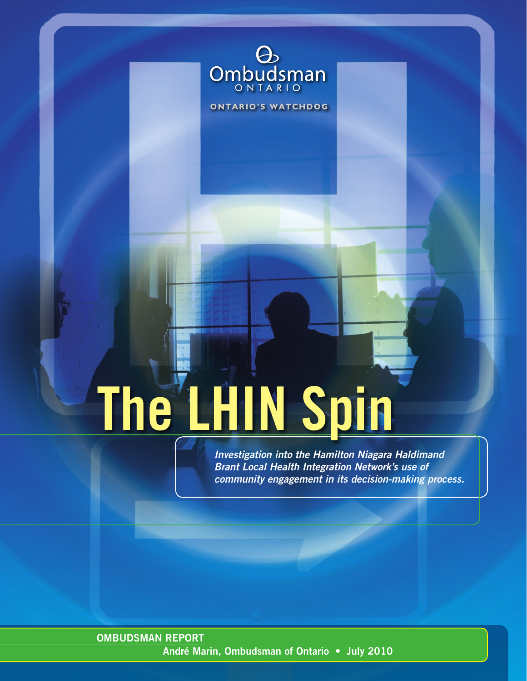

**ONTARIO'S WATCHDOG** 

# **The LHIN Spin**

**Investigation into the Hamilton Niagara Haldimand Brant Local Health Integration Network's use of community engagement in its decision-making process.**

**OMBUDSMAN REPORT André Marin, Ombudsman of Ontario • July 2010**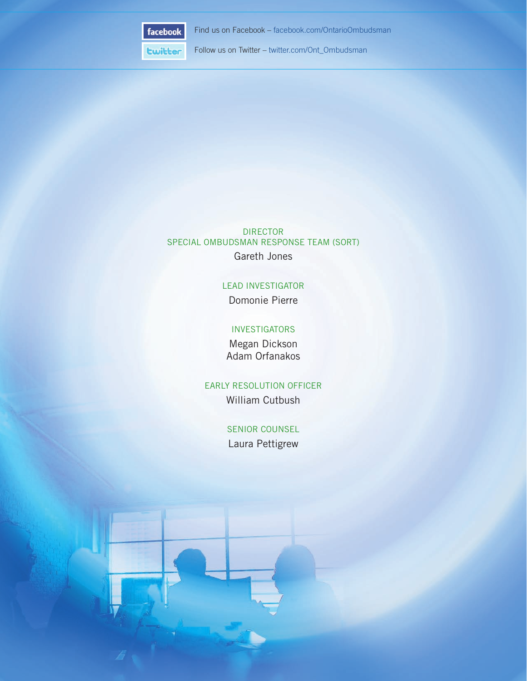

Find us on Facebook – facebook.com/OntarioOmbudsman

**Ewitter** Follow us on Twitter – twitter.com/Ont\_Ombudsman

DIRECTOR SPECIAL OMBUDSMAN RESPONSE TEAM (SORT) Gareth Jones

#### LEAD INVESTIGATOR

Domonie Pierre

#### **INVESTIGATORS**

Megan Dickson Adam Orfanakos

#### EARLY RESOLUTION OFFICER William Cutbush

SENIOR COUNSEL Laura Pettigrew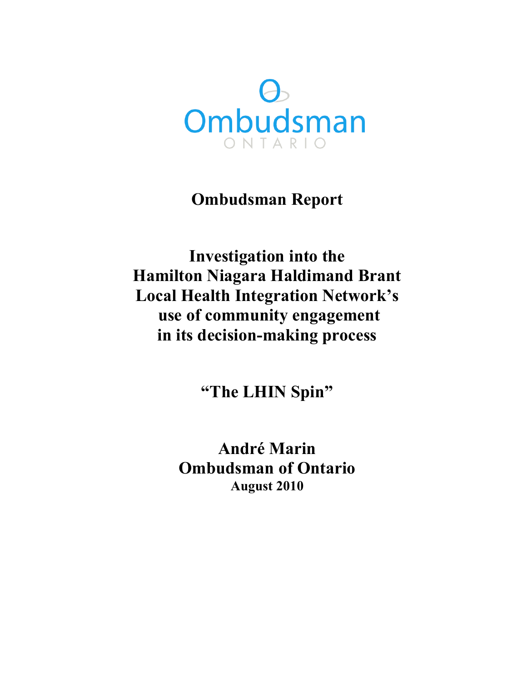

# **Ombudsman Report**

**Investigation into the Hamilton Niagara Haldimand Brant Local Health Integration Network's use of community engagement in its decision-making process**

**"The LHIN Spin"**

**André Marin Ombudsman of Ontario August 2010**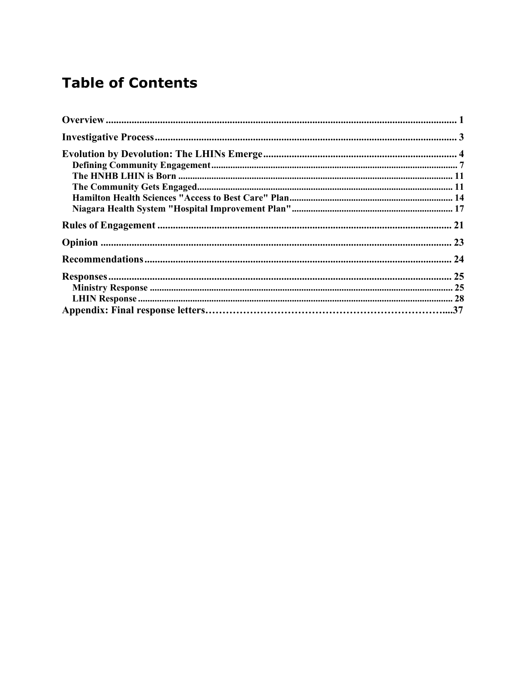# **Table of Contents**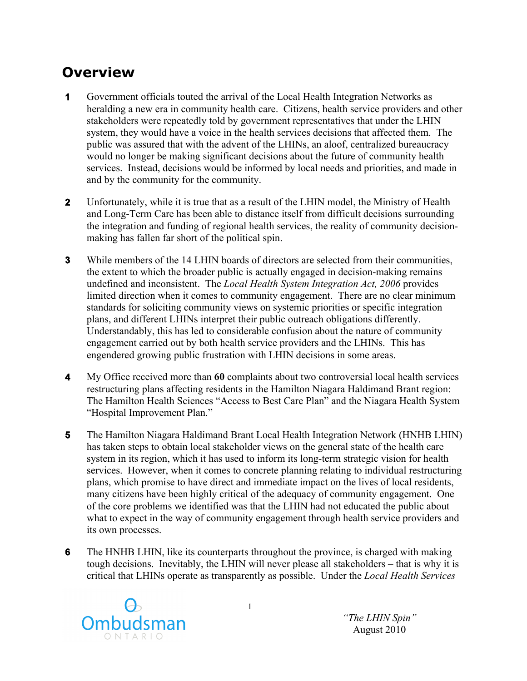## **Overview**

- **1** Government officials touted the arrival of the Local Health Integration Networks as heralding a new era in community health care. Citizens, health service providers and other stakeholders were repeatedly told by government representatives that under the LHIN system, they would have a voice in the health services decisions that affected them. The public was assured that with the advent of the LHINs, an aloof, centralized bureaucracy would no longer be making significant decisions about the future of community health services. Instead, decisions would be informed by local needs and priorities, and made in and by the community for the community.
- **2** Unfortunately, while it is true that as a result of the LHIN model, the Ministry of Health and Long-Term Care has been able to distance itself from difficult decisions surrounding the integration and funding of regional health services, the reality of community decisionmaking has fallen far short of the political spin.
- **3** While members of the 14 LHIN boards of directors are selected from their communities, the extent to which the broader public is actually engaged in decision-making remains undefined and inconsistent. The *Local Health System Integration Act, 2006* provides limited direction when it comes to community engagement. There are no clear minimum standards for soliciting community views on systemic priorities or specific integration plans, and different LHINs interpret their public outreach obligations differently. Understandably, this has led to considerable confusion about the nature of community engagement carried out by both health service providers and the LHINs. This has engendered growing public frustration with LHIN decisions in some areas.
- **4** My Office received more than **60** complaints about two controversial local health services restructuring plans affecting residents in the Hamilton Niagara Haldimand Brant region: The Hamilton Health Sciences "Access to Best Care Plan" and the Niagara Health System "Hospital Improvement Plan."
- **5** The Hamilton Niagara Haldimand Brant Local Health Integration Network (HNHB LHIN) has taken steps to obtain local stakeholder views on the general state of the health care system in its region, which it has used to inform its long-term strategic vision for health services. However, when it comes to concrete planning relating to individual restructuring plans, which promise to have direct and immediate impact on the lives of local residents, many citizens have been highly critical of the adequacy of community engagement. One of the core problems we identified was that the LHIN had not educated the public about what to expect in the way of community engagement through health service providers and its own processes.
- **6** The HNHB LHIN, like its counterparts throughout the province, is charged with making tough decisions. Inevitably, the LHIN will never please all stakeholders – that is why it is critical that LHINs operate as transparently as possible. Under the *Local Health Services*



*"The LHIN Spin"* August 2010

1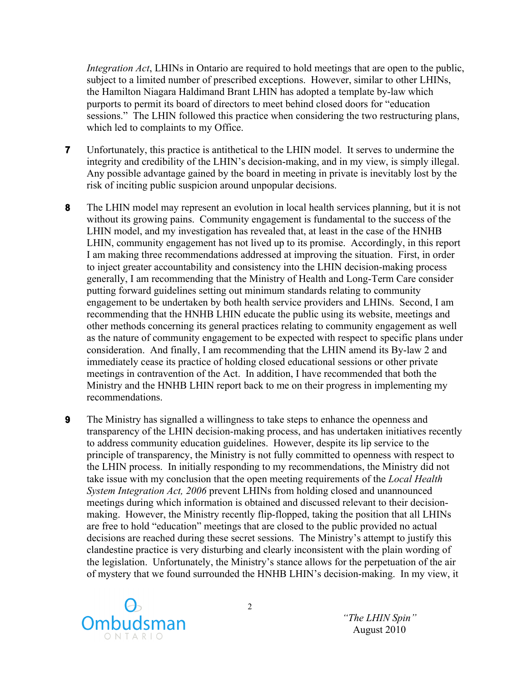*Integration Act*, LHINs in Ontario are required to hold meetings that are open to the public, subject to a limited number of prescribed exceptions. However, similar to other LHINs, the Hamilton Niagara Haldimand Brant LHIN has adopted a template by-law which purports to permit its board of directors to meet behind closed doors for "education sessions." The LHIN followed this practice when considering the two restructuring plans, which led to complaints to my Office.

- **7** Unfortunately, this practice is antithetical to the LHIN model. It serves to undermine the integrity and credibility of the LHIN's decision-making, and in my view, is simply illegal. Any possible advantage gained by the board in meeting in private is inevitably lost by the risk of inciting public suspicion around unpopular decisions.
- **8** The LHIN model may represent an evolution in local health services planning, but it is not without its growing pains. Community engagement is fundamental to the success of the LHIN model, and my investigation has revealed that, at least in the case of the HNHB LHIN, community engagement has not lived up to its promise. Accordingly, in this report I am making three recommendations addressed at improving the situation. First, in order to inject greater accountability and consistency into the LHIN decision-making process generally, I am recommending that the Ministry of Health and Long-Term Care consider putting forward guidelines setting out minimum standards relating to community engagement to be undertaken by both health service providers and LHINs. Second, I am recommending that the HNHB LHIN educate the public using its website, meetings and other methods concerning its general practices relating to community engagement as well as the nature of community engagement to be expected with respect to specific plans under consideration. And finally, I am recommending that the LHIN amend its By-law 2 and immediately cease its practice of holding closed educational sessions or other private meetings in contravention of the Act. In addition, I have recommended that both the Ministry and the HNHB LHIN report back to me on their progress in implementing my recommendations.
- **9** The Ministry has signalled a willingness to take steps to enhance the openness and transparency of the LHIN decision-making process, and has undertaken initiatives recently to address community education guidelines. However, despite its lip service to the principle of transparency, the Ministry is not fully committed to openness with respect to the LHIN process. In initially responding to my recommendations, the Ministry did not take issue with my conclusion that the open meeting requirements of the *Local Health System Integration Act, 2006* prevent LHINs from holding closed and unannounced meetings during which information is obtained and discussed relevant to their decisionmaking. However, the Ministry recently flip-flopped, taking the position that all LHINs are free to hold "education" meetings that are closed to the public provided no actual decisions are reached during these secret sessions. The Ministry's attempt to justify this clandestine practice is very disturbing and clearly inconsistent with the plain wording of the legislation. Unfortunately, the Ministry's stance allows for the perpetuation of the air of mystery that we found surrounded the HNHB LHIN's decision-making. In my view, it



*"The LHIN Spin"* August 2010

2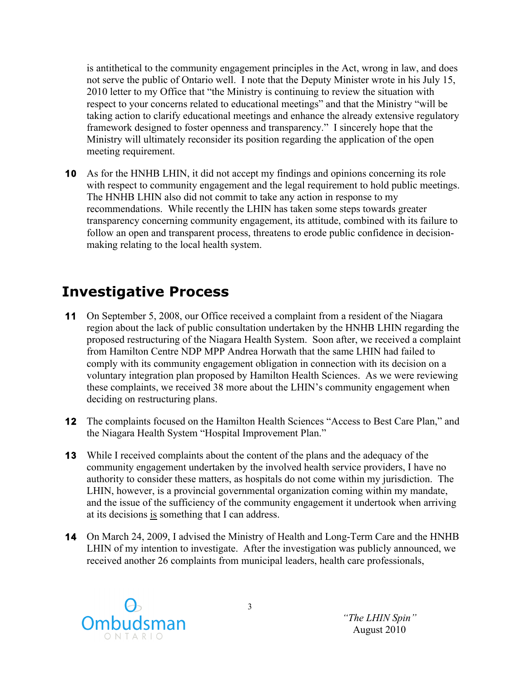is antithetical to the community engagement principles in the Act, wrong in law, and does not serve the public of Ontario well. I note that the Deputy Minister wrote in his July 15, 2010 letter to my Office that "the Ministry is continuing to review the situation with respect to your concerns related to educational meetings" and that the Ministry "will be taking action to clarify educational meetings and enhance the already extensive regulatory framework designed to foster openness and transparency." I sincerely hope that the Ministry will ultimately reconsider its position regarding the application of the open meeting requirement.

**10** As for the HNHB LHIN, it did not accept my findings and opinions concerning its role with respect to community engagement and the legal requirement to hold public meetings. The HNHB LHIN also did not commit to take any action in response to my recommendations. While recently the LHIN has taken some steps towards greater transparency concerning community engagement, its attitude, combined with its failure to follow an open and transparent process, threatens to erode public confidence in decisionmaking relating to the local health system.

## **Investigative Process**

- **11** On September 5, 2008, our Office received a complaint from a resident of the Niagara region about the lack of public consultation undertaken by the HNHB LHIN regarding the proposed restructuring of the Niagara Health System. Soon after, we received a complaint from Hamilton Centre NDP MPP Andrea Horwath that the same LHIN had failed to comply with its community engagement obligation in connection with its decision on a voluntary integration plan proposed by Hamilton Health Sciences. As we were reviewing these complaints, we received 38 more about the LHIN's community engagement when deciding on restructuring plans.
- **12** The complaints focused on the Hamilton Health Sciences "Access to Best Care Plan," and the Niagara Health System "Hospital Improvement Plan."
- **13** While I received complaints about the content of the plans and the adequacy of the community engagement undertaken by the involved health service providers, I have no authority to consider these matters, as hospitals do not come within my jurisdiction. The LHIN, however, is a provincial governmental organization coming within my mandate, and the issue of the sufficiency of the community engagement it undertook when arriving at its decisions is something that I can address.
- **14** On March 24, 2009, I advised the Ministry of Health and Long-Term Care and the HNHB LHIN of my intention to investigate. After the investigation was publicly announced, we received another 26 complaints from municipal leaders, health care professionals,

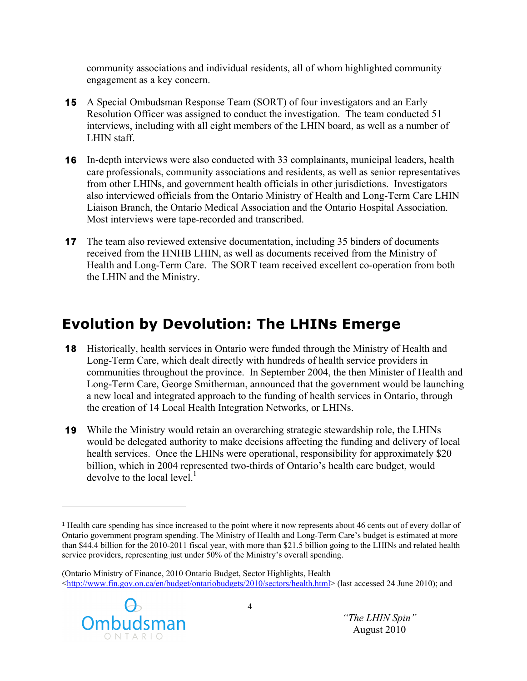community associations and individual residents, all of whom highlighted community engagement as a key concern.

- **15** A Special Ombudsman Response Team (SORT) of four investigators and an Early Resolution Officer was assigned to conduct the investigation. The team conducted 51 interviews, including with all eight members of the LHIN board, as well as a number of LHIN staff.
- **16** In-depth interviews were also conducted with 33 complainants, municipal leaders, health care professionals, community associations and residents, as well as senior representatives from other LHINs, and government health officials in other jurisdictions. Investigators also interviewed officials from the Ontario Ministry of Health and Long-Term Care LHIN Liaison Branch, the Ontario Medical Association and the Ontario Hospital Association. Most interviews were tape-recorded and transcribed.
- **17** The team also reviewed extensive documentation, including 35 binders of documents received from the HNHB LHIN, as well as documents received from the Ministry of Health and Long-Term Care. The SORT team received excellent co-operation from both the LHIN and the Ministry.

# **Evolution by Devolution: The LHINs Emerge**

- **18** Historically, health services in Ontario were funded through the Ministry of Health and Long-Term Care, which dealt directly with hundreds of health service providers in communities throughout the province. In September 2004, the then Minister of Health and Long-Term Care, George Smitherman, announced that the government would be launching a new local and integrated approach to the funding of health services in Ontario, through the creation of 14 Local Health Integration Networks, or LHINs.
- **19** While the Ministry would retain an overarching strategic stewardship role, the LHINs would be delegated authority to make decisions affecting the funding and delivery of local health services. Once the LHINs were operational, responsibility for approximately \$20 billion, which in 2004 represented two-thirds of Ontario's health care budget, would devolve to the local level. $<sup>1</sup>$ </sup>

<sup>(</sup>Ontario Ministry of Finance, 2010 Ontario Budget, Sector Highlights, Health <http://www.fin.gov.on.ca/en/budget/ontariobudgets/2010/sectors/health.html> (last accessed 24 June 2010); and



!!!!!!!!!!!!!!!!!!!!!!!!!!!!!!!!!!!!!!!!!!!!!!!!!!!!!!!

<sup>1</sup> Health care spending has since increased to the point where it now represents about 46 cents out of every dollar of Ontario government program spending. The Ministry of Health and Long-Term Care's budget is estimated at more than \$44.4 billion for the 2010-2011 fiscal year, with more than \$21.5 billion going to the LHINs and related health service providers, representing just under 50% of the Ministry's overall spending.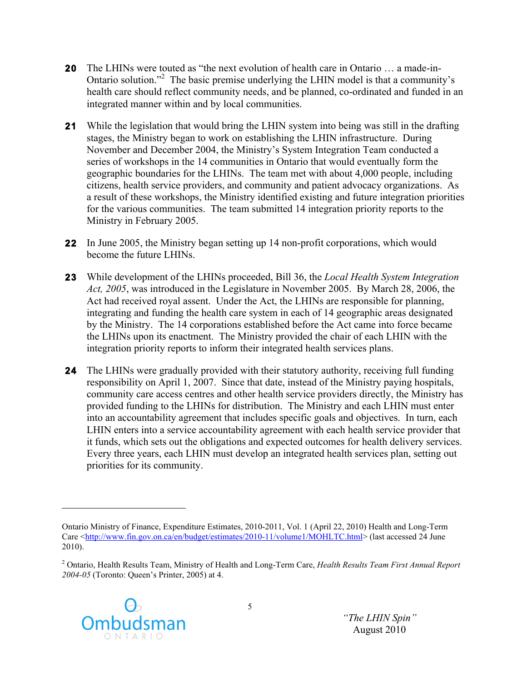- **20** The LHINs were touted as "the next evolution of health care in Ontario … a made-in-Ontario solution."2 The basic premise underlying the LHIN model is that a community's health care should reflect community needs, and be planned, co-ordinated and funded in an integrated manner within and by local communities.
- **21** While the legislation that would bring the LHIN system into being was still in the drafting stages, the Ministry began to work on establishing the LHIN infrastructure. During November and December 2004, the Ministry's System Integration Team conducted a series of workshops in the 14 communities in Ontario that would eventually form the geographic boundaries for the LHINs. The team met with about 4,000 people, including citizens, health service providers, and community and patient advocacy organizations. As a result of these workshops, the Ministry identified existing and future integration priorities for the various communities. The team submitted 14 integration priority reports to the Ministry in February 2005.
- **22** In June 2005, the Ministry began setting up 14 non-profit corporations, which would become the future LHINs.
- **23** While development of the LHINs proceeded, Bill 36, the *Local Health System Integration Act, 2005*, was introduced in the Legislature in November 2005. By March 28, 2006, the Act had received royal assent. Under the Act, the LHINs are responsible for planning, integrating and funding the health care system in each of 14 geographic areas designated by the Ministry. The 14 corporations established before the Act came into force became the LHINs upon its enactment. The Ministry provided the chair of each LHIN with the integration priority reports to inform their integrated health services plans.
- **24** The LHINs were gradually provided with their statutory authority, receiving full funding responsibility on April 1, 2007. Since that date, instead of the Ministry paying hospitals, community care access centres and other health service providers directly, the Ministry has provided funding to the LHINs for distribution. The Ministry and each LHIN must enter into an accountability agreement that includes specific goals and objectives. In turn, each LHIN enters into a service accountability agreement with each health service provider that it funds, which sets out the obligations and expected outcomes for health delivery services. Every three years, each LHIN must develop an integrated health services plan, setting out priorities for its community.

<sup>2</sup> Ontario, Health Results Team, Ministry of Health and Long-Term Care, *Health Results Team First Annual Report 2004-05* (Toronto: Queen's Printer, 2005) at 4.



Ontario Ministry of Finance, Expenditure Estimates, 2010-2011, Vol. 1 (April 22, 2010) Health and Long-Term Care <http://www.fin.gov.on.ca/en/budget/estimates/2010-11/volume1/MOHLTC.html> (last accessed 24 June 2010).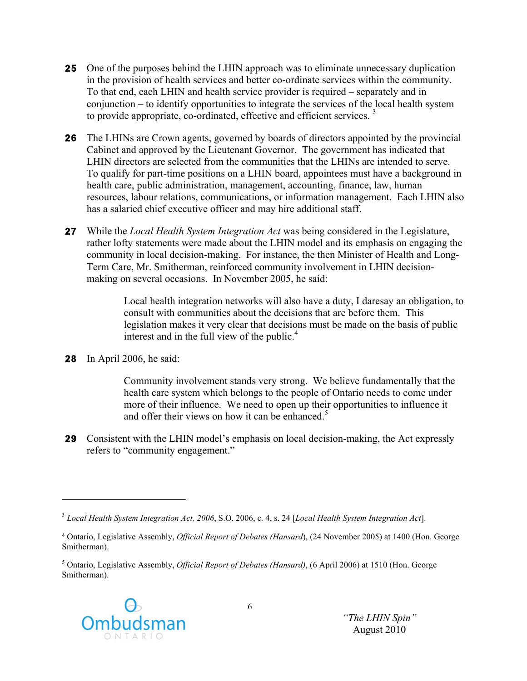- **25** One of the purposes behind the LHIN approach was to eliminate unnecessary duplication in the provision of health services and better co-ordinate services within the community. To that end, each LHIN and health service provider is required – separately and in conjunction – to identify opportunities to integrate the services of the local health system to provide appropriate, co-ordinated, effective and efficient services.<sup>3</sup>
- **26** The LHINs are Crown agents, governed by boards of directors appointed by the provincial Cabinet and approved by the Lieutenant Governor. The government has indicated that LHIN directors are selected from the communities that the LHINs are intended to serve. To qualify for part-time positions on a LHIN board, appointees must have a background in health care, public administration, management, accounting, finance, law, human resources, labour relations, communications, or information management. Each LHIN also has a salaried chief executive officer and may hire additional staff.
- **27** While the *Local Health System Integration Act* was being considered in the Legislature, rather lofty statements were made about the LHIN model and its emphasis on engaging the community in local decision-making. For instance, the then Minister of Health and Long-Term Care, Mr. Smitherman, reinforced community involvement in LHIN decisionmaking on several occasions. In November 2005, he said:

Local health integration networks will also have a duty, I daresay an obligation, to consult with communities about the decisions that are before them. This legislation makes it very clear that decisions must be made on the basis of public interest and in the full view of the public. $4$ 

**28** In April 2006, he said:

!!!!!!!!!!!!!!!!!!!!!!!!!!!!!!!!!!!!!!!!!!!!!!!!!!!!!!!

Community involvement stands very strong. We believe fundamentally that the health care system which belongs to the people of Ontario needs to come under more of their influence. We need to open up their opportunities to influence it and offer their views on how it can be enhanced. $5$ 

**29** Consistent with the LHIN model's emphasis on local decision-making, the Act expressly refers to "community engagement."

<sup>5</sup> Ontario, Legislative Assembly, *Official Report of Debates (Hansard)*, (6 April 2006) at 1510 (Hon. George Smitherman).



<sup>3</sup> *Local Health System Integration Act, 2006*, S.O. 2006, c. 4, s. 24 [*Local Health System Integration Act*].

<sup>4</sup> Ontario, Legislative Assembly, *Official Report of Debates (Hansard*), (24 November 2005) at 1400 (Hon. George Smitherman).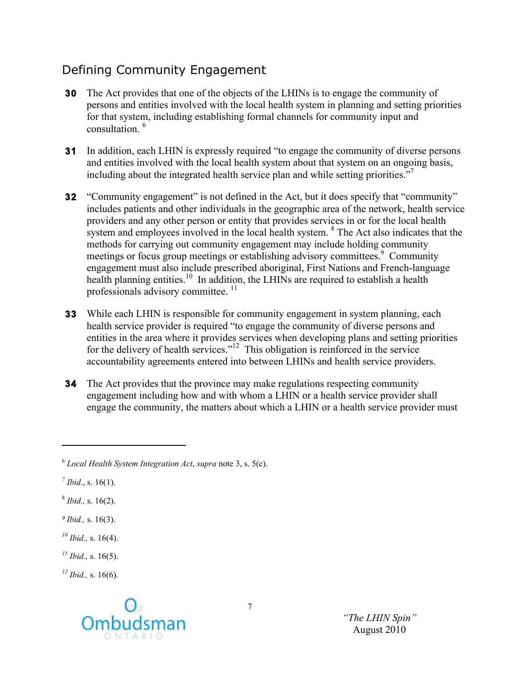## Defining Community Engagement

- **30** The Act provides that one of the objects of the LHINs is to engage the community of persons and entities involved with the local health system in planning and setting priorities for that system, including establishing formal channels for community input and consultation.<sup>6</sup>
- **31** In addition, each LHIN is expressly required "to engage the community of diverse persons and entities involved with the local health system about that system on an ongoing basis, including about the integrated health service plan and while setting priorities."<sup>7</sup>
- **32** "Community engagement" is not defined in the Act, but it does specify that "community" includes patients and other individuals in the geographic area of the network, health service providers and any other person or entity that provides services in or for the local health system and employees involved in the local health system.  $8$  The Act also indicates that the methods for carrying out community engagement may include holding community meetings or focus group meetings or establishing advisory committees.<sup>9</sup> Community engagement must also include prescribed aboriginal, First Nations and French-language health planning entities.<sup>10</sup> In addition, the LHINs are required to establish a health professionals advisory committee.<sup>11</sup>
- **33** While each LHIN is responsible for community engagement in system planning, each health service provider is required "to engage the community of diverse persons and entities in the area where it provides services when developing plans and setting priorities for the delivery of health services."<sup>12</sup> This obligation is reinforced in the service accountability agreements entered into between LHINs and health service providers.
- **34** The Act provides that the province may make regulations respecting community engagement including how and with whom a LHIN or a health service provider shall engage the community, the matters about which a LHIN or a health service provider must

*<sup>7</sup> Ibid.*, s. 16(1).

!!!!!!!!!!!!!!!!!!!!!!!!!!!!!!!!!!!!!!!!!!!!!!!!!!!!!!!

- <sup>8</sup> *Ibid.,* s. 16(2).
- *<sup>9</sup> Ibid.,* s. 16(3).
- *<sup>10</sup> Ibid.,* s. 16(4).
- *<sup>11</sup> Ibid.,* s. 16(5).
- *<sup>12</sup> Ibid.,* s. 16(6).



<sup>6</sup> *Local Health System Integration Act*, *supra* note 3, s. 5(c).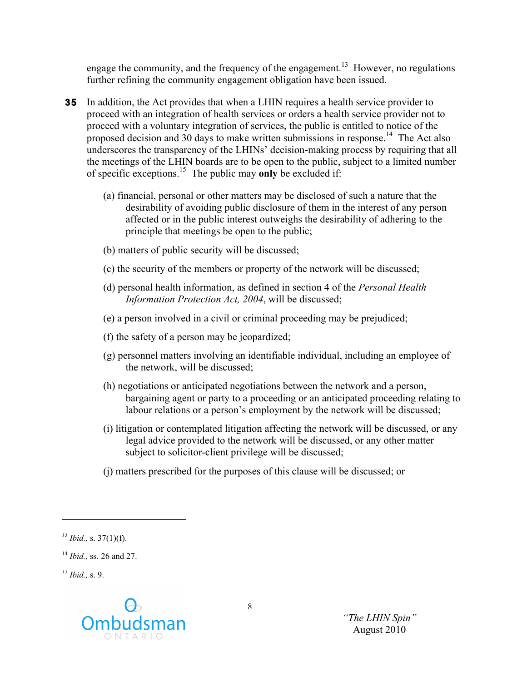engage the community, and the frequency of the engagement.<sup>13</sup> However, no regulations further refining the community engagement obligation have been issued.

- **35** In addition, the Act provides that when a LHIN requires a health service provider to proceed with an integration of health services or orders a health service provider not to proceed with a voluntary integration of services, the public is entitled to notice of the proposed decision and 30 days to make written submissions in response.<sup>14</sup> The Act also underscores the transparency of the LHINs' decision-making process by requiring that all the meetings of the LHIN boards are to be open to the public, subject to a limited number of specific exceptions.15 The public may **only** be excluded if:
	- (a) financial, personal or other matters may be disclosed of such a nature that the desirability of avoiding public disclosure of them in the interest of any person affected or in the public interest outweighs the desirability of adhering to the principle that meetings be open to the public;
	- (b) matters of public security will be discussed;
	- (c) the security of the members or property of the network will be discussed;
	- (d) personal health information, as defined in section 4 of the *Personal Health Information Protection Act, 2004*, will be discussed;
	- (e) a person involved in a civil or criminal proceeding may be prejudiced;
	- (f) the safety of a person may be jeopardized;
	- (g) personnel matters involving an identifiable individual, including an employee of the network, will be discussed;
	- (h) negotiations or anticipated negotiations between the network and a person, bargaining agent or party to a proceeding or an anticipated proceeding relating to labour relations or a person's employment by the network will be discussed;
	- (i) litigation or contemplated litigation affecting the network will be discussed, or any legal advice provided to the network will be discussed, or any other matter subject to solicitor-client privilege will be discussed;
	- (j) matters prescribed for the purposes of this clause will be discussed; or

 $^{15}$  *Ibid.*, s. 9.



!!!!!!!!!!!!!!!!!!!!!!!!!!!!!!!!!!!!!!!!!!!!!!!!!!!!!!!

*<sup>13</sup> Ibid.,* s. 37(1)(f).

<sup>14</sup> *Ibid.,* ss. 26 and 27.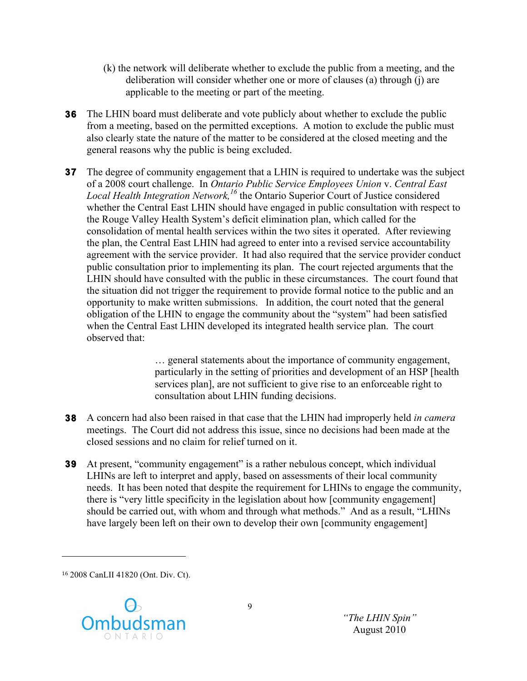- (k) the network will deliberate whether to exclude the public from a meeting, and the deliberation will consider whether one or more of clauses (a) through (j) are applicable to the meeting or part of the meeting.
- **36** The LHIN board must deliberate and vote publicly about whether to exclude the public from a meeting, based on the permitted exceptions. A motion to exclude the public must also clearly state the nature of the matter to be considered at the closed meeting and the general reasons why the public is being excluded.
- **37** The degree of community engagement that a LHIN is required to undertake was the subject of a 2008 court challenge. In *Ontario Public Service Employees Union* v. *Central East Local Health Integration Network,<sup>16</sup>* the Ontario Superior Court of Justice considered whether the Central East LHIN should have engaged in public consultation with respect to the Rouge Valley Health System's deficit elimination plan, which called for the consolidation of mental health services within the two sites it operated. After reviewing the plan, the Central East LHIN had agreed to enter into a revised service accountability agreement with the service provider. It had also required that the service provider conduct public consultation prior to implementing its plan. The court rejected arguments that the LHIN should have consulted with the public in these circumstances. The court found that the situation did not trigger the requirement to provide formal notice to the public and an opportunity to make written submissions. In addition, the court noted that the general obligation of the LHIN to engage the community about the "system" had been satisfied when the Central East LHIN developed its integrated health service plan. The court observed that:

… general statements about the importance of community engagement, particularly in the setting of priorities and development of an HSP [health services plan], are not sufficient to give rise to an enforceable right to consultation about LHIN funding decisions.

- **38** A concern had also been raised in that case that the LHIN had improperly held *in camera* meetings. The Court did not address this issue, since no decisions had been made at the closed sessions and no claim for relief turned on it.
- **39** At present, "community engagement" is a rather nebulous concept, which individual LHINs are left to interpret and apply, based on assessments of their local community needs. It has been noted that despite the requirement for LHINs to engage the community, there is "very little specificity in the legislation about how [community engagement] should be carried out, with whom and through what methods." And as a result, "LHINs have largely been left on their own to develop their own [community engagement]

<sup>16</sup> 2008 CanLII 41820 (Ont. Div. Ct).

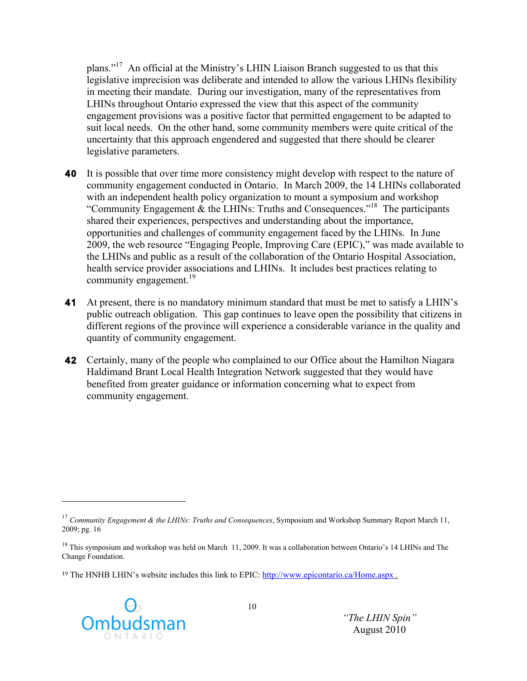plans."<sup>17</sup> An official at the Ministry's LHIN Liaison Branch suggested to us that this legislative imprecision was deliberate and intended to allow the various LHINs flexibility in meeting their mandate. During our investigation, many of the representatives from LHINs throughout Ontario expressed the view that this aspect of the community engagement provisions was a positive factor that permitted engagement to be adapted to suit local needs. On the other hand, some community members were quite critical of the uncertainty that this approach engendered and suggested that there should be clearer legislative parameters.

- **40** It is possible that over time more consistency might develop with respect to the nature of community engagement conducted in Ontario. In March 2009, the 14 LHINs collaborated with an independent health policy organization to mount a symposium and workshop "Community Engagement  $\&$  the LHINs: Truths and Consequences."<sup>18</sup> The participants shared their experiences, perspectives and understanding about the importance, opportunities and challenges of community engagement faced by the LHINs. In June 2009, the web resource "Engaging People, Improving Care (EPIC)," was made available to the LHINs and public as a result of the collaboration of the Ontario Hospital Association, health service provider associations and LHINs. It includes best practices relating to community engagement.<sup>19</sup>
- **41** At present, there is no mandatory minimum standard that must be met to satisfy a LHIN's public outreach obligation. This gap continues to leave open the possibility that citizens in different regions of the province will experience a considerable variance in the quality and quantity of community engagement.
- **42** Certainly, many of the people who complained to our Office about the Hamilton Niagara Haldimand Brant Local Health Integration Network suggested that they would have benefited from greater guidance or information concerning what to expect from community engagement.

<sup>&</sup>lt;sup>19</sup> The HNHB LHIN's website includes this link to EPIC: http://www.epicontario.ca/Home.aspx.



<sup>17</sup> *Community Engagement & the LHINs: Truths and Consequences*, Symposium and Workshop Summary Report March 11, 2009; pg. 16

<sup>&</sup>lt;sup>18</sup> This symposium and workshop was held on March 11, 2009. It was a collaboration between Ontario's 14 LHINs and The Change Foundation.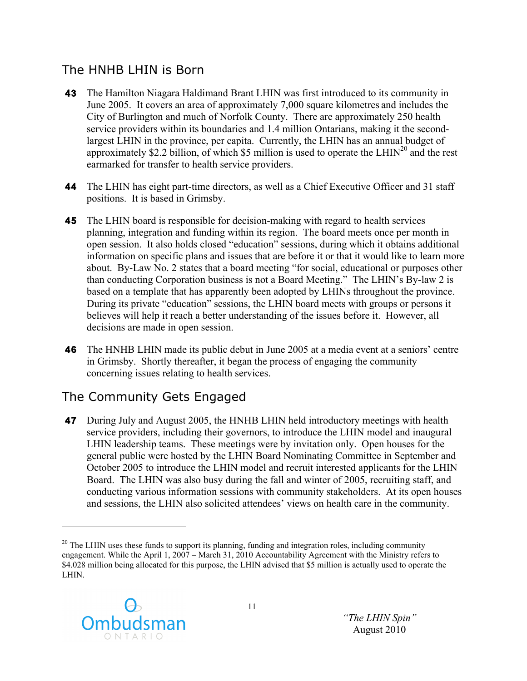### The HNHB LHIN is Born

- **43** The Hamilton Niagara Haldimand Brant LHIN was first introduced to its community in June 2005. It covers an area of approximately 7,000 square kilometres and includes the City of Burlington and much of Norfolk County. There are approximately 250 health service providers within its boundaries and 1.4 million Ontarians, making it the secondlargest LHIN in the province, per capita. Currently, the LHIN has an annual budget of approximately \$2.2 billion, of which \$5 million is used to operate the LHIN<sup>20</sup> and the rest earmarked for transfer to health service providers.
- **44** The LHIN has eight part-time directors, as well as a Chief Executive Officer and 31 staff positions. It is based in Grimsby.
- **45** The LHIN board is responsible for decision-making with regard to health services planning, integration and funding within its region. The board meets once per month in open session. It also holds closed "education" sessions, during which it obtains additional information on specific plans and issues that are before it or that it would like to learn more about. By-Law No. 2 states that a board meeting "for social, educational or purposes other than conducting Corporation business is not a Board Meeting." The LHIN's By-law 2 is based on a template that has apparently been adopted by LHINs throughout the province. During its private "education" sessions, the LHIN board meets with groups or persons it believes will help it reach a better understanding of the issues before it. However, all decisions are made in open session.
- **46** The HNHB LHIN made its public debut in June 2005 at a media event at a seniors' centre in Grimsby. Shortly thereafter, it began the process of engaging the community concerning issues relating to health services.

## The Community Gets Engaged

**47** During July and August 2005, the HNHB LHIN held introductory meetings with health service providers, including their governors, to introduce the LHIN model and inaugural LHIN leadership teams. These meetings were by invitation only. Open houses for the general public were hosted by the LHIN Board Nominating Committee in September and October 2005 to introduce the LHIN model and recruit interested applicants for the LHIN Board. The LHIN was also busy during the fall and winter of 2005, recruiting staff, and conducting various information sessions with community stakeholders. At its open houses and sessions, the LHIN also solicited attendees' views on health care in the community.

 $^{20}$  The LHIN uses these funds to support its planning, funding and integration roles, including community engagement. While the April 1, 2007 – March 31, 2010 Accountability Agreement with the Ministry refers to \$4.028 million being allocated for this purpose, the LHIN advised that \$5 million is actually used to operate the LHIN.



!!!!!!!!!!!!!!!!!!!!!!!!!!!!!!!!!!!!!!!!!!!!!!!!!!!!!!!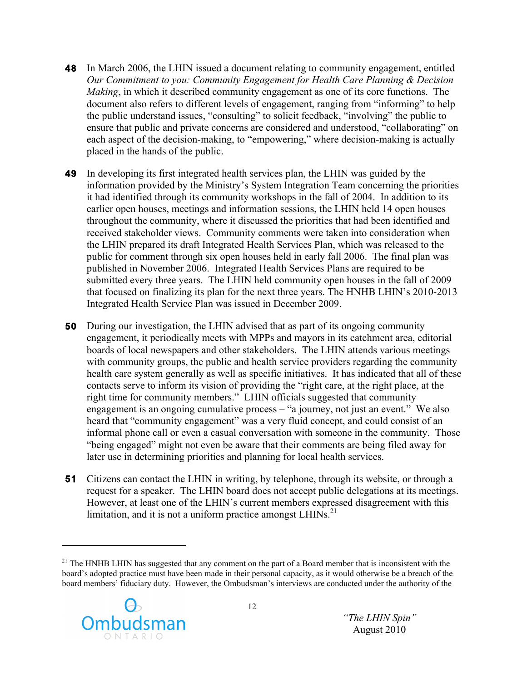- **48** In March 2006, the LHIN issued a document relating to community engagement, entitled *Our Commitment to you: Community Engagement for Health Care Planning & Decision Making*, in which it described community engagement as one of its core functions. The document also refers to different levels of engagement, ranging from "informing" to help the public understand issues, "consulting" to solicit feedback, "involving" the public to ensure that public and private concerns are considered and understood, "collaborating" on each aspect of the decision-making, to "empowering," where decision-making is actually placed in the hands of the public.
- **49** In developing its first integrated health services plan, the LHIN was guided by the information provided by the Ministry's System Integration Team concerning the priorities it had identified through its community workshops in the fall of 2004. In addition to its earlier open houses, meetings and information sessions, the LHIN held 14 open houses throughout the community, where it discussed the priorities that had been identified and received stakeholder views. Community comments were taken into consideration when the LHIN prepared its draft Integrated Health Services Plan, which was released to the public for comment through six open houses held in early fall 2006. The final plan was published in November 2006. Integrated Health Services Plans are required to be submitted every three years. The LHIN held community open houses in the fall of 2009 that focused on finalizing its plan for the next three years. The HNHB LHIN's 2010-2013 Integrated Health Service Plan was issued in December 2009.
- **50** During our investigation, the LHIN advised that as part of its ongoing community engagement, it periodically meets with MPPs and mayors in its catchment area, editorial boards of local newspapers and other stakeholders. The LHIN attends various meetings with community groups, the public and health service providers regarding the community health care system generally as well as specific initiatives. It has indicated that all of these contacts serve to inform its vision of providing the "right care, at the right place, at the right time for community members." LHIN officials suggested that community engagement is an ongoing cumulative process – "a journey, not just an event." We also heard that "community engagement" was a very fluid concept, and could consist of an informal phone call or even a casual conversation with someone in the community. Those "being engaged" might not even be aware that their comments are being filed away for later use in determining priorities and planning for local health services.
- **51** Citizens can contact the LHIN in writing, by telephone, through its website, or through a request for a speaker. The LHIN board does not accept public delegations at its meetings. However, at least one of the LHIN's current members expressed disagreement with this limitation, and it is not a uniform practice amongst  $LHINs.$ <sup>21</sup>

<sup>&</sup>lt;sup>21</sup> The HNHB LHIN has suggested that any comment on the part of a Board member that is inconsistent with the board's adopted practice must have been made in their personal capacity, as it would otherwise be a breach of the board members' fiduciary duty. However, the Ombudsman's interviews are conducted under the authority of the

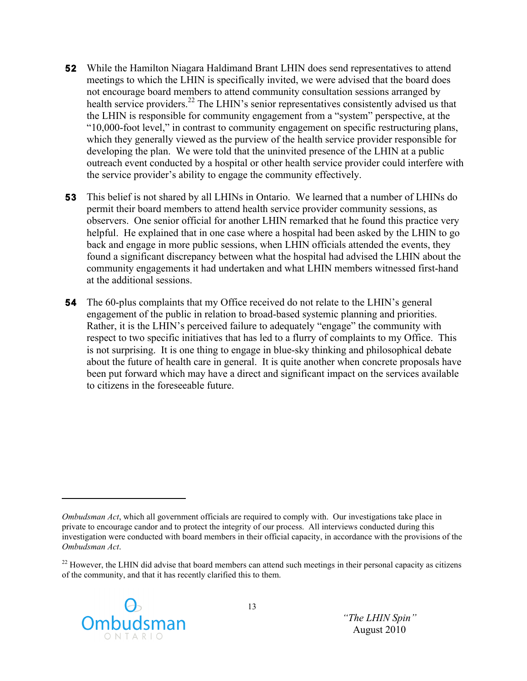- **52** While the Hamilton Niagara Haldimand Brant LHIN does send representatives to attend meetings to which the LHIN is specifically invited, we were advised that the board does not encourage board members to attend community consultation sessions arranged by health service providers.<sup>22</sup> The LHIN's senior representatives consistently advised us that the LHIN is responsible for community engagement from a "system" perspective, at the "10,000-foot level," in contrast to community engagement on specific restructuring plans, which they generally viewed as the purview of the health service provider responsible for developing the plan. We were told that the uninvited presence of the LHIN at a public outreach event conducted by a hospital or other health service provider could interfere with the service provider's ability to engage the community effectively.
- **53** This belief is not shared by all LHINs in Ontario. We learned that a number of LHINs do permit their board members to attend health service provider community sessions, as observers. One senior official for another LHIN remarked that he found this practice very helpful. He explained that in one case where a hospital had been asked by the LHIN to go back and engage in more public sessions, when LHIN officials attended the events, they found a significant discrepancy between what the hospital had advised the LHIN about the community engagements it had undertaken and what LHIN members witnessed first-hand at the additional sessions.
- **54** The 60-plus complaints that my Office received do not relate to the LHIN's general engagement of the public in relation to broad-based systemic planning and priorities. Rather, it is the LHIN's perceived failure to adequately "engage" the community with respect to two specific initiatives that has led to a flurry of complaints to my Office. This is not surprising. It is one thing to engage in blue-sky thinking and philosophical debate about the future of health care in general. It is quite another when concrete proposals have been put forward which may have a direct and significant impact on the services available to citizens in the foreseeable future.

 $^{22}$  However, the LHIN did advise that board members can attend such meetings in their personal capacity as citizens of the community, and that it has recently clarified this to them.



*Ombudsman Act*, which all government officials are required to comply with. Our investigations take place in private to encourage candor and to protect the integrity of our process. All interviews conducted during this investigation were conducted with board members in their official capacity, in accordance with the provisions of the *Ombudsman Act*.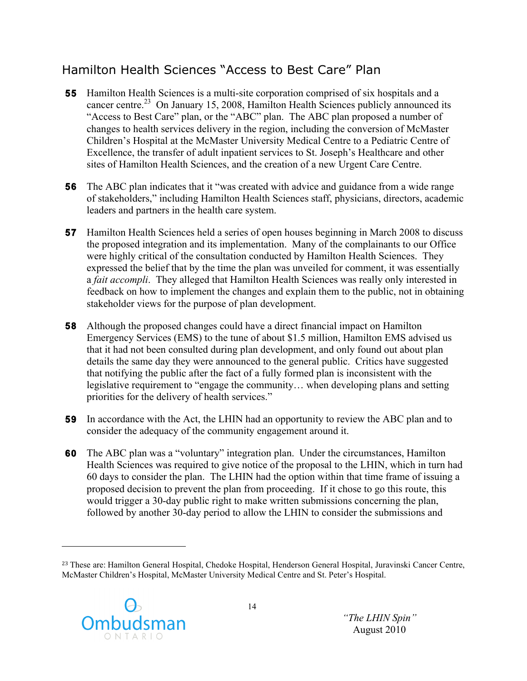## Hamilton Health Sciences "Access to Best Care" Plan

- **55** Hamilton Health Sciences is a multi-site corporation comprised of six hospitals and a cancer centre.<sup>23</sup> On January 15, 2008, Hamilton Health Sciences publicly announced its "Access to Best Care" plan, or the "ABC" plan. The ABC plan proposed a number of changes to health services delivery in the region, including the conversion of McMaster Children's Hospital at the McMaster University Medical Centre to a Pediatric Centre of Excellence, the transfer of adult inpatient services to St. Joseph's Healthcare and other sites of Hamilton Health Sciences, and the creation of a new Urgent Care Centre.
- **56** The ABC plan indicates that it "was created with advice and guidance from a wide range of stakeholders," including Hamilton Health Sciences staff, physicians, directors, academic leaders and partners in the health care system.
- **57** Hamilton Health Sciences held a series of open houses beginning in March 2008 to discuss the proposed integration and its implementation. Many of the complainants to our Office were highly critical of the consultation conducted by Hamilton Health Sciences. They expressed the belief that by the time the plan was unveiled for comment, it was essentially a *fait accompli*. They alleged that Hamilton Health Sciences was really only interested in feedback on how to implement the changes and explain them to the public, not in obtaining stakeholder views for the purpose of plan development.
- **58** Although the proposed changes could have a direct financial impact on Hamilton Emergency Services (EMS) to the tune of about \$1.5 million, Hamilton EMS advised us that it had not been consulted during plan development, and only found out about plan details the same day they were announced to the general public. Critics have suggested that notifying the public after the fact of a fully formed plan is inconsistent with the legislative requirement to "engage the community… when developing plans and setting priorities for the delivery of health services."
- **59** In accordance with the Act, the LHIN had an opportunity to review the ABC plan and to consider the adequacy of the community engagement around it.
- **60** The ABC plan was a "voluntary" integration plan. Under the circumstances, Hamilton Health Sciences was required to give notice of the proposal to the LHIN, which in turn had 60 days to consider the plan. The LHIN had the option within that time frame of issuing a proposed decision to prevent the plan from proceeding. If it chose to go this route, this would trigger a 30-day public right to make written submissions concerning the plan, followed by another 30-day period to allow the LHIN to consider the submissions and

<sup>23</sup> These are: Hamilton General Hospital, Chedoke Hospital, Henderson General Hospital, Juravinski Cancer Centre, McMaster Children's Hospital, McMaster University Medical Centre and St. Peter's Hospital.

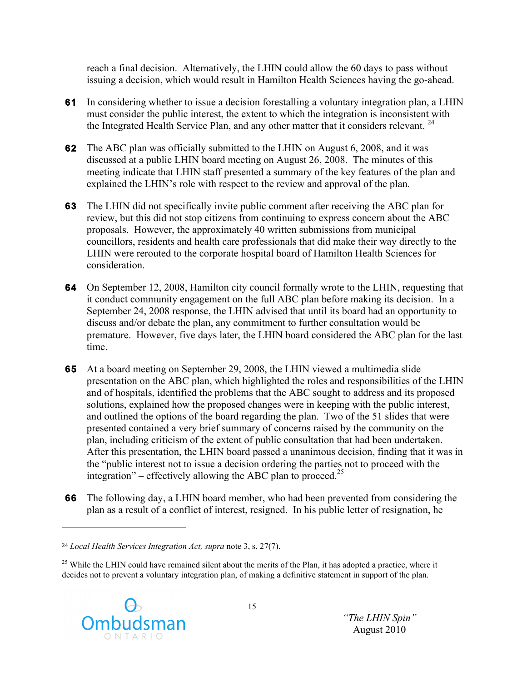reach a final decision. Alternatively, the LHIN could allow the 60 days to pass without issuing a decision, which would result in Hamilton Health Sciences having the go-ahead.

- **61** In considering whether to issue a decision forestalling a voluntary integration plan, a LHIN must consider the public interest, the extent to which the integration is inconsistent with the Integrated Health Service Plan, and any other matter that it considers relevant.  $24$
- **62** The ABC plan was officially submitted to the LHIN on August 6, 2008, and it was discussed at a public LHIN board meeting on August 26, 2008. The minutes of this meeting indicate that LHIN staff presented a summary of the key features of the plan and explained the LHIN's role with respect to the review and approval of the plan*.*
- **63** The LHIN did not specifically invite public comment after receiving the ABC plan for review, but this did not stop citizens from continuing to express concern about the ABC proposals. However, the approximately 40 written submissions from municipal councillors, residents and health care professionals that did make their way directly to the LHIN were rerouted to the corporate hospital board of Hamilton Health Sciences for consideration.
- **64** On September 12, 2008, Hamilton city council formally wrote to the LHIN, requesting that it conduct community engagement on the full ABC plan before making its decision. In a September 24, 2008 response, the LHIN advised that until its board had an opportunity to discuss and/or debate the plan, any commitment to further consultation would be premature. However, five days later, the LHIN board considered the ABC plan for the last time.
- **65** At a board meeting on September 29, 2008, the LHIN viewed a multimedia slide presentation on the ABC plan, which highlighted the roles and responsibilities of the LHIN and of hospitals, identified the problems that the ABC sought to address and its proposed solutions, explained how the proposed changes were in keeping with the public interest, and outlined the options of the board regarding the plan. Two of the 51 slides that were presented contained a very brief summary of concerns raised by the community on the plan, including criticism of the extent of public consultation that had been undertaken. After this presentation, the LHIN board passed a unanimous decision, finding that it was in the "public interest not to issue a decision ordering the parties not to proceed with the integration" – effectively allowing the ABC plan to proceed.<sup>25</sup>
- **66** The following day, a LHIN board member, who had been prevented from considering the plan as a result of a conflict of interest, resigned. In his public letter of resignation, he

<sup>&</sup>lt;sup>25</sup> While the LHIN could have remained silent about the merits of the Plan, it has adopted a practice, where it decides not to prevent a voluntary integration plan, of making a definitive statement in support of the plan.



<sup>24</sup> *Local Health Services Integration Act, supra* note 3, s. 27(7).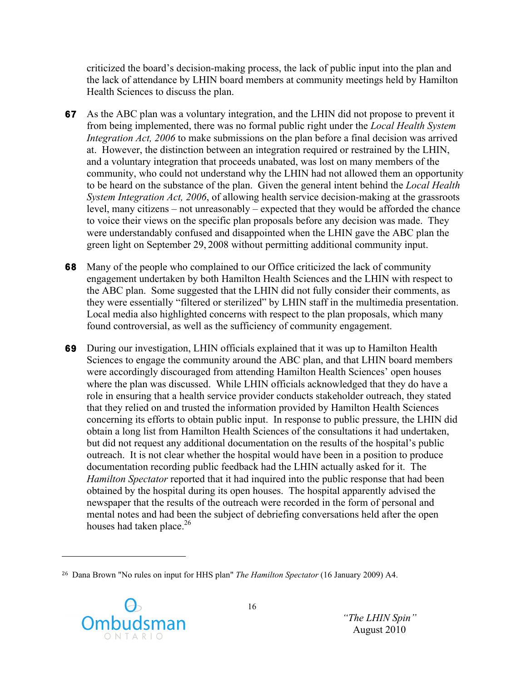criticized the board's decision-making process, the lack of public input into the plan and the lack of attendance by LHIN board members at community meetings held by Hamilton Health Sciences to discuss the plan.

- **67** As the ABC plan was a voluntary integration, and the LHIN did not propose to prevent it from being implemented, there was no formal public right under the *Local Health System Integration Act, 2006* to make submissions on the plan before a final decision was arrived at. However, the distinction between an integration required or restrained by the LHIN, and a voluntary integration that proceeds unabated, was lost on many members of the community, who could not understand why the LHIN had not allowed them an opportunity to be heard on the substance of the plan. Given the general intent behind the *Local Health System Integration Act, 2006*, of allowing health service decision-making at the grassroots level, many citizens – not unreasonably – expected that they would be afforded the chance to voice their views on the specific plan proposals before any decision was made. They were understandably confused and disappointed when the LHIN gave the ABC plan the green light on September 29, 2008 without permitting additional community input.
- **68** Many of the people who complained to our Office criticized the lack of community engagement undertaken by both Hamilton Health Sciences and the LHIN with respect to the ABC plan. Some suggested that the LHIN did not fully consider their comments, as they were essentially "filtered or sterilized" by LHIN staff in the multimedia presentation. Local media also highlighted concerns with respect to the plan proposals, which many found controversial, as well as the sufficiency of community engagement.
- **69** During our investigation, LHIN officials explained that it was up to Hamilton Health Sciences to engage the community around the ABC plan, and that LHIN board members were accordingly discouraged from attending Hamilton Health Sciences' open houses where the plan was discussed. While LHIN officials acknowledged that they do have a role in ensuring that a health service provider conducts stakeholder outreach, they stated that they relied on and trusted the information provided by Hamilton Health Sciences concerning its efforts to obtain public input. In response to public pressure, the LHIN did obtain a long list from Hamilton Health Sciences of the consultations it had undertaken, but did not request any additional documentation on the results of the hospital's public outreach. It is not clear whether the hospital would have been in a position to produce documentation recording public feedback had the LHIN actually asked for it. The *Hamilton Spectator* reported that it had inquired into the public response that had been obtained by the hospital during its open houses. The hospital apparently advised the newspaper that the results of the outreach were recorded in the form of personal and mental notes and had been the subject of debriefing conversations held after the open houses had taken place. $26$

<sup>26</sup> Dana Brown "No rules on input for HHS plan" *The Hamilton Spectator* (16 January 2009) A4.



!!!!!!!!!!!!!!!!!!!!!!!!!!!!!!!!!!!!!!!!!!!!!!!!!!!!!!!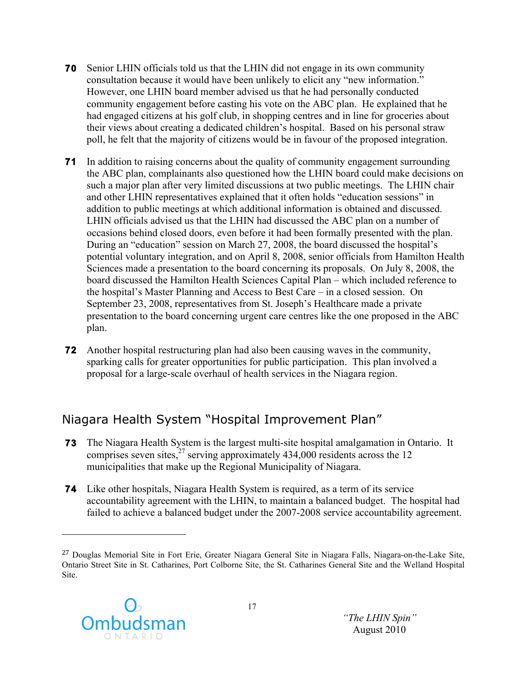- **70** Senior LHIN officials told us that the LHIN did not engage in its own community consultation because it would have been unlikely to elicit any "new information." However, one LHIN board member advised us that he had personally conducted community engagement before casting his vote on the ABC plan. He explained that he had engaged citizens at his golf club, in shopping centres and in line for groceries about their views about creating a dedicated children's hospital. Based on his personal straw poll, he felt that the majority of citizens would be in favour of the proposed integration.
- **71** In addition to raising concerns about the quality of community engagement surrounding the ABC plan, complainants also questioned how the LHIN board could make decisions on such a major plan after very limited discussions at two public meetings. The LHIN chair and other LHIN representatives explained that it often holds "education sessions" in addition to public meetings at which additional information is obtained and discussed. LHIN officials advised us that the LHIN had discussed the ABC plan on a number of occasions behind closed doors, even before it had been formally presented with the plan. During an "education" session on March 27, 2008, the board discussed the hospital's potential voluntary integration, and on April 8, 2008, senior officials from Hamilton Health Sciences made a presentation to the board concerning its proposals. On July 8, 2008, the board discussed the Hamilton Health Sciences Capital Plan – which included reference to the hospital's Master Planning and Access to Best Care – in a closed session. On September 23, 2008, representatives from St. Joseph's Healthcare made a private presentation to the board concerning urgent care centres like the one proposed in the ABC plan.
- **72** Another hospital restructuring plan had also been causing waves in the community, sparking calls for greater opportunities for public participation. This plan involved a proposal for a large-scale overhaul of health services in the Niagara region.

## Niagara Health System "Hospital Improvement Plan"

- **73** The Niagara Health System is the largest multi-site hospital amalgamation in Ontario. It comprises seven sites,  $27$  serving approximately 434,000 residents across the 12 municipalities that make up the Regional Municipality of Niagara.
- **74** Like other hospitals, Niagara Health System is required, as a term of its service accountability agreement with the LHIN, to maintain a balanced budget. The hospital had failed to achieve a balanced budget under the 2007-2008 service accountability agreement.

<sup>27</sup> Douglas Memorial Site in Fort Erie, Greater Niagara General Site in Niagara Falls, Niagara-on-the-Lake Site, Ontario Street Site in St. Catharines, Port Colborne Site, the St. Catharines General Site and the Welland Hospital Site.

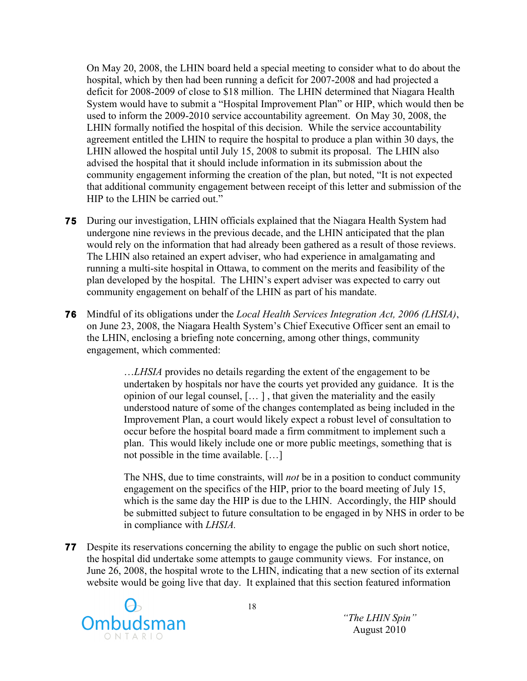On May 20, 2008, the LHIN board held a special meeting to consider what to do about the hospital, which by then had been running a deficit for 2007-2008 and had projected a deficit for 2008-2009 of close to \$18 million. The LHIN determined that Niagara Health System would have to submit a "Hospital Improvement Plan" or HIP, which would then be used to inform the 2009-2010 service accountability agreement. On May 30, 2008, the LHIN formally notified the hospital of this decision. While the service accountability agreement entitled the LHIN to require the hospital to produce a plan within 30 days, the LHIN allowed the hospital until July 15, 2008 to submit its proposal. The LHIN also advised the hospital that it should include information in its submission about the community engagement informing the creation of the plan, but noted, "It is not expected that additional community engagement between receipt of this letter and submission of the HIP to the LHIN be carried out."

- **75** During our investigation, LHIN officials explained that the Niagara Health System had undergone nine reviews in the previous decade, and the LHIN anticipated that the plan would rely on the information that had already been gathered as a result of those reviews. The LHIN also retained an expert adviser, who had experience in amalgamating and running a multi-site hospital in Ottawa, to comment on the merits and feasibility of the plan developed by the hospital. The LHIN's expert adviser was expected to carry out community engagement on behalf of the LHIN as part of his mandate.
- **76** Mindful of its obligations under the *Local Health Services Integration Act, 2006 (LHSIA)*, on June 23, 2008, the Niagara Health System's Chief Executive Officer sent an email to the LHIN, enclosing a briefing note concerning, among other things, community engagement, which commented:

…*LHSIA* provides no details regarding the extent of the engagement to be undertaken by hospitals nor have the courts yet provided any guidance. It is the opinion of our legal counsel, [… ] , that given the materiality and the easily understood nature of some of the changes contemplated as being included in the Improvement Plan, a court would likely expect a robust level of consultation to occur before the hospital board made a firm commitment to implement such a plan. This would likely include one or more public meetings, something that is not possible in the time available. […]

The NHS, due to time constraints, will *not* be in a position to conduct community engagement on the specifics of the HIP, prior to the board meeting of July 15, which is the same day the HIP is due to the LHIN. Accordingly, the HIP should be submitted subject to future consultation to be engaged in by NHS in order to be in compliance with *LHSIA.*

**77** Despite its reservations concerning the ability to engage the public on such short notice, the hospital did undertake some attempts to gauge community views. For instance, on June 26, 2008, the hospital wrote to the LHIN, indicating that a new section of its external website would be going live that day. It explained that this section featured information

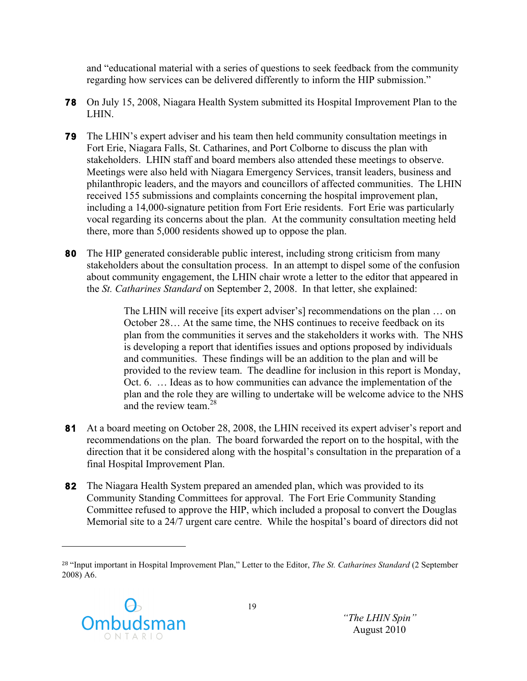and "educational material with a series of questions to seek feedback from the community regarding how services can be delivered differently to inform the HIP submission."

- **78** On July 15, 2008, Niagara Health System submitted its Hospital Improvement Plan to the LHIN.
- **79** The LHIN's expert adviser and his team then held community consultation meetings in Fort Erie, Niagara Falls, St. Catharines, and Port Colborne to discuss the plan with stakeholders. LHIN staff and board members also attended these meetings to observe. Meetings were also held with Niagara Emergency Services, transit leaders, business and philanthropic leaders, and the mayors and councillors of affected communities. The LHIN received 155 submissions and complaints concerning the hospital improvement plan, including a 14,000-signature petition from Fort Erie residents. Fort Erie was particularly vocal regarding its concerns about the plan. At the community consultation meeting held there, more than 5,000 residents showed up to oppose the plan.
- **80** The HIP generated considerable public interest, including strong criticism from many stakeholders about the consultation process. In an attempt to dispel some of the confusion about community engagement, the LHIN chair wrote a letter to the editor that appeared in the *St. Catharines Standard* on September 2, 2008. In that letter, she explained:

The LHIN will receive [its expert adviser's] recommendations on the plan … on October 28… At the same time, the NHS continues to receive feedback on its plan from the communities it serves and the stakeholders it works with. The NHS is developing a report that identifies issues and options proposed by individuals and communities. These findings will be an addition to the plan and will be provided to the review team. The deadline for inclusion in this report is Monday, Oct. 6. … Ideas as to how communities can advance the implementation of the plan and the role they are willing to undertake will be welcome advice to the NHS and the review team.<sup>28</sup>

- **81** At a board meeting on October 28, 2008, the LHIN received its expert adviser's report and recommendations on the plan. The board forwarded the report on to the hospital, with the direction that it be considered along with the hospital's consultation in the preparation of a final Hospital Improvement Plan.
- **82** The Niagara Health System prepared an amended plan, which was provided to its Community Standing Committees for approval. The Fort Erie Community Standing Committee refused to approve the HIP, which included a proposal to convert the Douglas Memorial site to a 24/7 urgent care centre. While the hospital's board of directors did not

<sup>28</sup> "Input important in Hospital Improvement Plan," Letter to the Editor, *The St. Catharines Standard* (2 September 2008) A6.

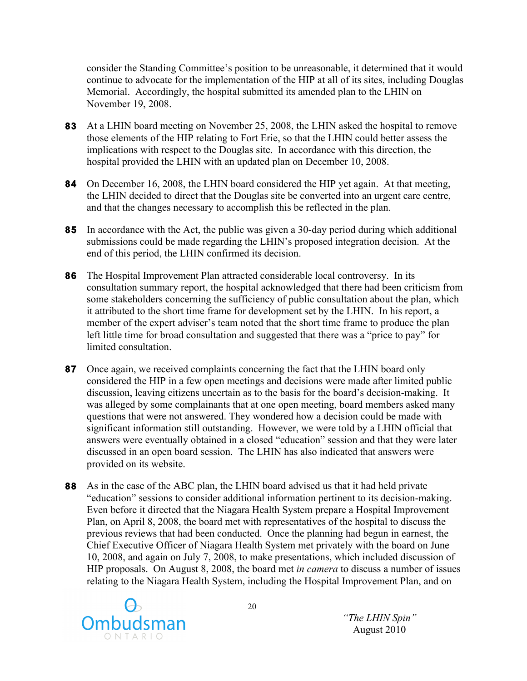consider the Standing Committee's position to be unreasonable, it determined that it would continue to advocate for the implementation of the HIP at all of its sites, including Douglas Memorial. Accordingly, the hospital submitted its amended plan to the LHIN on November 19, 2008.

- **83** At a LHIN board meeting on November 25, 2008, the LHIN asked the hospital to remove those elements of the HIP relating to Fort Erie, so that the LHIN could better assess the implications with respect to the Douglas site. In accordance with this direction, the hospital provided the LHIN with an updated plan on December 10, 2008.
- **84** On December 16, 2008, the LHIN board considered the HIP yet again. At that meeting, the LHIN decided to direct that the Douglas site be converted into an urgent care centre, and that the changes necessary to accomplish this be reflected in the plan.
- **85** In accordance with the Act, the public was given a 30-day period during which additional submissions could be made regarding the LHIN's proposed integration decision. At the end of this period, the LHIN confirmed its decision.
- **86** The Hospital Improvement Plan attracted considerable local controversy. In its consultation summary report, the hospital acknowledged that there had been criticism from some stakeholders concerning the sufficiency of public consultation about the plan, which it attributed to the short time frame for development set by the LHIN. In his report, a member of the expert adviser's team noted that the short time frame to produce the plan left little time for broad consultation and suggested that there was a "price to pay" for limited consultation.
- **87** Once again, we received complaints concerning the fact that the LHIN board only considered the HIP in a few open meetings and decisions were made after limited public discussion, leaving citizens uncertain as to the basis for the board's decision-making. It was alleged by some complainants that at one open meeting, board members asked many questions that were not answered. They wondered how a decision could be made with significant information still outstanding. However, we were told by a LHIN official that answers were eventually obtained in a closed "education" session and that they were later discussed in an open board session. The LHIN has also indicated that answers were provided on its website.
- **88** As in the case of the ABC plan, the LHIN board advised us that it had held private "education" sessions to consider additional information pertinent to its decision-making. Even before it directed that the Niagara Health System prepare a Hospital Improvement Plan, on April 8, 2008, the board met with representatives of the hospital to discuss the previous reviews that had been conducted. Once the planning had begun in earnest, the Chief Executive Officer of Niagara Health System met privately with the board on June 10, 2008, and again on July 7, 2008, to make presentations, which included discussion of HIP proposals. On August 8, 2008, the board met *in camera* to discuss a number of issues relating to the Niagara Health System, including the Hospital Improvement Plan, and on

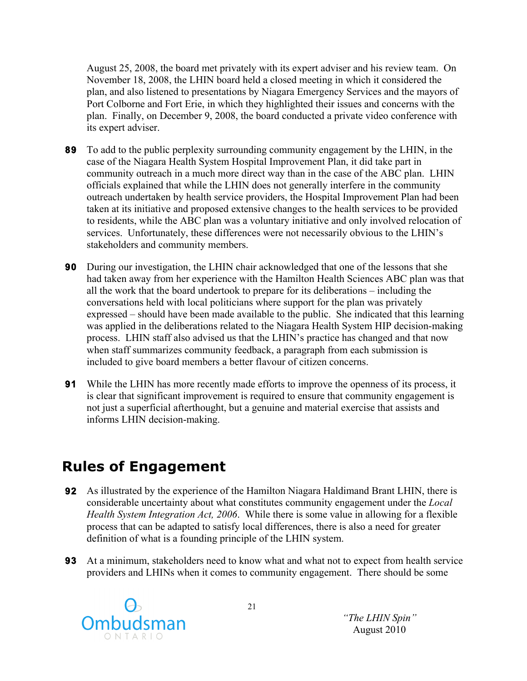August 25, 2008, the board met privately with its expert adviser and his review team. On November 18, 2008, the LHIN board held a closed meeting in which it considered the plan, and also listened to presentations by Niagara Emergency Services and the mayors of Port Colborne and Fort Erie, in which they highlighted their issues and concerns with the plan. Finally, on December 9, 2008, the board conducted a private video conference with its expert adviser.

- **89** To add to the public perplexity surrounding community engagement by the LHIN, in the case of the Niagara Health System Hospital Improvement Plan, it did take part in community outreach in a much more direct way than in the case of the ABC plan. LHIN officials explained that while the LHIN does not generally interfere in the community outreach undertaken by health service providers, the Hospital Improvement Plan had been taken at its initiative and proposed extensive changes to the health services to be provided to residents, while the ABC plan was a voluntary initiative and only involved relocation of services. Unfortunately, these differences were not necessarily obvious to the LHIN's stakeholders and community members.
- **90** During our investigation, the LHIN chair acknowledged that one of the lessons that she had taken away from her experience with the Hamilton Health Sciences ABC plan was that all the work that the board undertook to prepare for its deliberations – including the conversations held with local politicians where support for the plan was privately expressed – should have been made available to the public. She indicated that this learning was applied in the deliberations related to the Niagara Health System HIP decision-making process. LHIN staff also advised us that the LHIN's practice has changed and that now when staff summarizes community feedback, a paragraph from each submission is included to give board members a better flavour of citizen concerns.
- **91** While the LHIN has more recently made efforts to improve the openness of its process, it is clear that significant improvement is required to ensure that community engagement is not just a superficial afterthought, but a genuine and material exercise that assists and informs LHIN decision-making.

## **Rules of Engagement**

- **92** As illustrated by the experience of the Hamilton Niagara Haldimand Brant LHIN, there is considerable uncertainty about what constitutes community engagement under the *Local Health System Integration Act, 2006*. While there is some value in allowing for a flexible process that can be adapted to satisfy local differences, there is also a need for greater definition of what is a founding principle of the LHIN system.
- **93** At a minimum, stakeholders need to know what and what not to expect from health service providers and LHINs when it comes to community engagement. There should be some

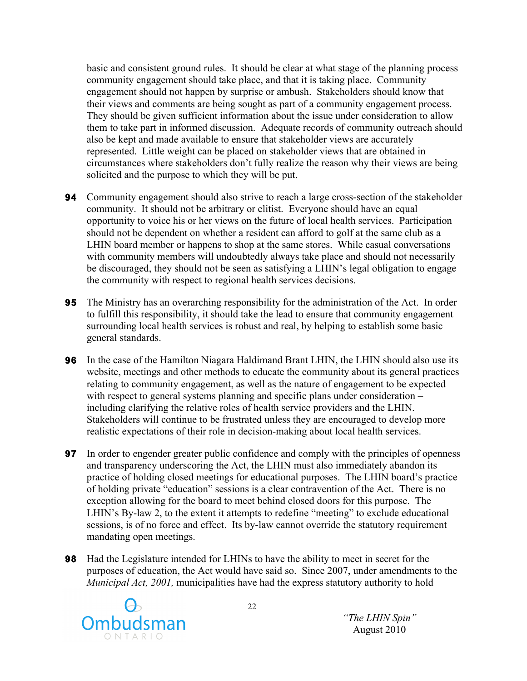basic and consistent ground rules. It should be clear at what stage of the planning process community engagement should take place, and that it is taking place. Community engagement should not happen by surprise or ambush. Stakeholders should know that their views and comments are being sought as part of a community engagement process. They should be given sufficient information about the issue under consideration to allow them to take part in informed discussion. Adequate records of community outreach should also be kept and made available to ensure that stakeholder views are accurately represented. Little weight can be placed on stakeholder views that are obtained in circumstances where stakeholders don't fully realize the reason why their views are being solicited and the purpose to which they will be put.

- **94** Community engagement should also strive to reach a large cross-section of the stakeholder community. It should not be arbitrary or elitist. Everyone should have an equal opportunity to voice his or her views on the future of local health services. Participation should not be dependent on whether a resident can afford to golf at the same club as a LHIN board member or happens to shop at the same stores. While casual conversations with community members will undoubtedly always take place and should not necessarily be discouraged, they should not be seen as satisfying a LHIN's legal obligation to engage the community with respect to regional health services decisions.
- **95** The Ministry has an overarching responsibility for the administration of the Act. In order to fulfill this responsibility, it should take the lead to ensure that community engagement surrounding local health services is robust and real, by helping to establish some basic general standards.
- **96** In the case of the Hamilton Niagara Haldimand Brant LHIN, the LHIN should also use its website, meetings and other methods to educate the community about its general practices relating to community engagement, as well as the nature of engagement to be expected with respect to general systems planning and specific plans under consideration – including clarifying the relative roles of health service providers and the LHIN. Stakeholders will continue to be frustrated unless they are encouraged to develop more realistic expectations of their role in decision-making about local health services.
- **97** In order to engender greater public confidence and comply with the principles of openness and transparency underscoring the Act, the LHIN must also immediately abandon its practice of holding closed meetings for educational purposes. The LHIN board's practice of holding private "education" sessions is a clear contravention of the Act. There is no exception allowing for the board to meet behind closed doors for this purpose. The LHIN's By-law 2, to the extent it attempts to redefine "meeting" to exclude educational sessions, is of no force and effect. Its by-law cannot override the statutory requirement mandating open meetings.
- **98** Had the Legislature intended for LHINs to have the ability to meet in secret for the purposes of education, the Act would have said so. Since 2007, under amendments to the *Municipal Act, 2001,* municipalities have had the express statutory authority to hold

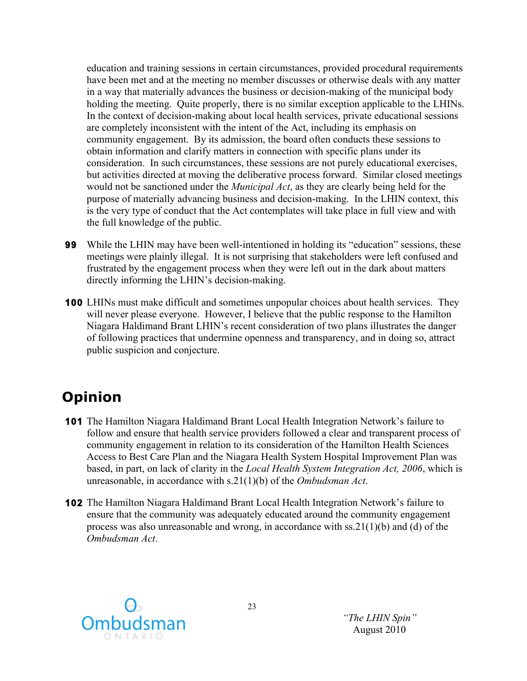education and training sessions in certain circumstances, provided procedural requirements have been met and at the meeting no member discusses or otherwise deals with any matter in a way that materially advances the business or decision-making of the municipal body holding the meeting. Quite properly, there is no similar exception applicable to the LHINs. In the context of decision-making about local health services, private educational sessions are completely inconsistent with the intent of the Act, including its emphasis on community engagement. By its admission, the board often conducts these sessions to obtain information and clarify matters in connection with specific plans under its consideration. In such circumstances, these sessions are not purely educational exercises, but activities directed at moving the deliberative process forward. Similar closed meetings would not be sanctioned under the *Municipal Act*, as they are clearly being held for the purpose of materially advancing business and decision-making. In the LHIN context, this is the very type of conduct that the Act contemplates will take place in full view and with the full knowledge of the public.

- **99** While the LHIN may have been well-intentioned in holding its "education" sessions, these meetings were plainly illegal. It is not surprising that stakeholders were left confused and frustrated by the engagement process when they were left out in the dark about matters directly informing the LHIN's decision-making.
- **100** LHINs must make difficult and sometimes unpopular choices about health services. They will never please everyone. However, I believe that the public response to the Hamilton Niagara Haldimand Brant LHIN's recent consideration of two plans illustrates the danger of following practices that undermine openness and transparency, and in doing so, attract public suspicion and conjecture.

# **Opinion**

- **101** The Hamilton Niagara Haldimand Brant Local Health Integration Network's failure to follow and ensure that health service providers followed a clear and transparent process of community engagement in relation to its consideration of the Hamilton Health Sciences Access to Best Care Plan and the Niagara Health System Hospital Improvement Plan was based, in part, on lack of clarity in the *Local Health System Integration Act, 2006*, which is unreasonable, in accordance with s.21(1)(b) of the *Ombudsman Act*.
- **102** The Hamilton Niagara Haldimand Brant Local Health Integration Network's failure to ensure that the community was adequately educated around the community engagement process was also unreasonable and wrong, in accordance with ss.21(1)(b) and (d) of the *Ombudsman Act*.

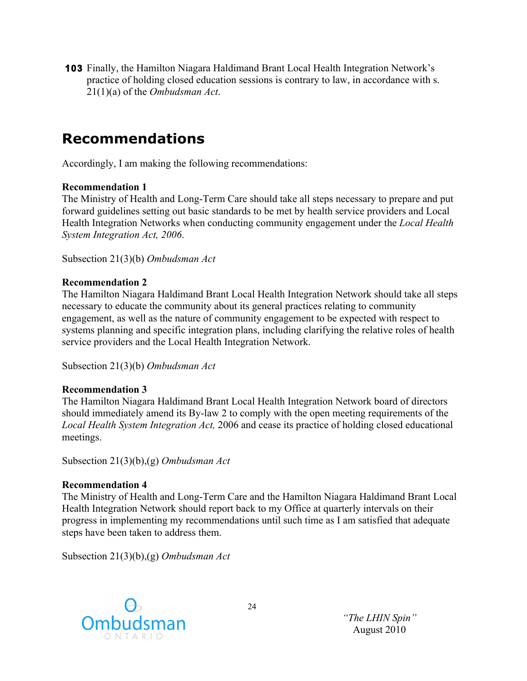**103** Finally, the Hamilton Niagara Haldimand Brant Local Health Integration Network's practice of holding closed education sessions is contrary to law, in accordance with s. 21(1)(a) of the *Ombudsman Act*.

## **Recommendations**

Accordingly, I am making the following recommendations:

#### **Recommendation 1**

The Ministry of Health and Long-Term Care should take all steps necessary to prepare and put forward guidelines setting out basic standards to be met by health service providers and Local Health Integration Networks when conducting community engagement under the *Local Health System Integration Act, 2006*.

Subsection 21(3)(b) *Ombudsman Act*

#### **Recommendation 2**

The Hamilton Niagara Haldimand Brant Local Health Integration Network should take all steps necessary to educate the community about its general practices relating to community engagement, as well as the nature of community engagement to be expected with respect to systems planning and specific integration plans, including clarifying the relative roles of health service providers and the Local Health Integration Network.

Subsection 21(3)(b) *Ombudsman Act*

#### **Recommendation 3**

The Hamilton Niagara Haldimand Brant Local Health Integration Network board of directors should immediately amend its By-law 2 to comply with the open meeting requirements of the *Local Health System Integration Act,* 2006 and cease its practice of holding closed educational meetings.

Subsection 21(3)(b),(g) *Ombudsman Act*

#### **Recommendation 4**

The Ministry of Health and Long-Term Care and the Hamilton Niagara Haldimand Brant Local Health Integration Network should report back to my Office at quarterly intervals on their progress in implementing my recommendations until such time as I am satisfied that adequate steps have been taken to address them.

Subsection 21(3)(b),(g) *Ombudsman Act*

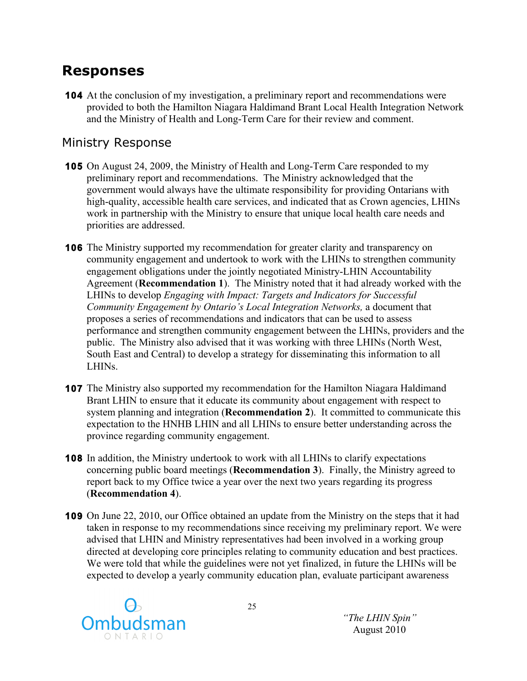## **Responses**

**104** At the conclusion of my investigation, a preliminary report and recommendations were provided to both the Hamilton Niagara Haldimand Brant Local Health Integration Network and the Ministry of Health and Long-Term Care for their review and comment.

#### Ministry Response

- **105** On August 24, 2009, the Ministry of Health and Long-Term Care responded to my preliminary report and recommendations. The Ministry acknowledged that the government would always have the ultimate responsibility for providing Ontarians with high-quality, accessible health care services, and indicated that as Crown agencies, LHINs work in partnership with the Ministry to ensure that unique local health care needs and priorities are addressed.
- **106** The Ministry supported my recommendation for greater clarity and transparency on community engagement and undertook to work with the LHINs to strengthen community engagement obligations under the jointly negotiated Ministry-LHIN Accountability Agreement (**Recommendation 1**). The Ministry noted that it had already worked with the LHINs to develop *Engaging with Impact: Targets and Indicators for Successful Community Engagement by Ontario's Local Integration Networks,* a document that proposes a series of recommendations and indicators that can be used to assess performance and strengthen community engagement between the LHINs, providers and the public. The Ministry also advised that it was working with three LHINs (North West, South East and Central) to develop a strategy for disseminating this information to all LHINs.
- **107** The Ministry also supported my recommendation for the Hamilton Niagara Haldimand Brant LHIN to ensure that it educate its community about engagement with respect to system planning and integration (**Recommendation 2**). It committed to communicate this expectation to the HNHB LHIN and all LHINs to ensure better understanding across the province regarding community engagement.
- **108** In addition, the Ministry undertook to work with all LHINs to clarify expectations concerning public board meetings (**Recommendation 3**). Finally, the Ministry agreed to report back to my Office twice a year over the next two years regarding its progress (**Recommendation 4**).
- **109** On June 22, 2010, our Office obtained an update from the Ministry on the steps that it had taken in response to my recommendations since receiving my preliminary report. We were advised that LHIN and Ministry representatives had been involved in a working group directed at developing core principles relating to community education and best practices. We were told that while the guidelines were not yet finalized, in future the LHINs will be expected to develop a yearly community education plan, evaluate participant awareness

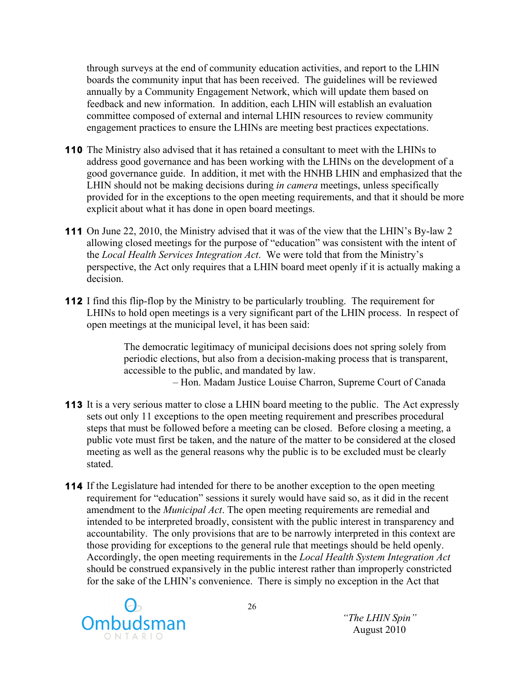through surveys at the end of community education activities, and report to the LHIN boards the community input that has been received. The guidelines will be reviewed annually by a Community Engagement Network, which will update them based on feedback and new information. In addition, each LHIN will establish an evaluation committee composed of external and internal LHIN resources to review community engagement practices to ensure the LHINs are meeting best practices expectations.

- **110** The Ministry also advised that it has retained a consultant to meet with the LHINs to address good governance and has been working with the LHINs on the development of a good governance guide. In addition, it met with the HNHB LHIN and emphasized that the LHIN should not be making decisions during *in camera* meetings, unless specifically provided for in the exceptions to the open meeting requirements, and that it should be more explicit about what it has done in open board meetings.
- **111** On June 22, 2010, the Ministry advised that it was of the view that the LHIN's By-law 2 allowing closed meetings for the purpose of "education" was consistent with the intent of the *Local Health Services Integration Act*. We were told that from the Ministry's perspective, the Act only requires that a LHIN board meet openly if it is actually making a decision.
- **112** I find this flip-flop by the Ministry to be particularly troubling. The requirement for LHINs to hold open meetings is a very significant part of the LHIN process. In respect of open meetings at the municipal level, it has been said:

The democratic legitimacy of municipal decisions does not spring solely from periodic elections, but also from a decision-making process that is transparent, accessible to the public, and mandated by law.

– Hon. Madam Justice Louise Charron, Supreme Court of Canada

- **113** It is a very serious matter to close a LHIN board meeting to the public. The Act expressly sets out only 11 exceptions to the open meeting requirement and prescribes procedural steps that must be followed before a meeting can be closed. Before closing a meeting, a public vote must first be taken, and the nature of the matter to be considered at the closed meeting as well as the general reasons why the public is to be excluded must be clearly stated.
- **114** If the Legislature had intended for there to be another exception to the open meeting requirement for "education" sessions it surely would have said so, as it did in the recent amendment to the *Municipal Act*. The open meeting requirements are remedial and intended to be interpreted broadly, consistent with the public interest in transparency and accountability. The only provisions that are to be narrowly interpreted in this context are those providing for exceptions to the general rule that meetings should be held openly. Accordingly, the open meeting requirements in the *Local Health System Integration Act* should be construed expansively in the public interest rather than improperly constricted for the sake of the LHIN's convenience. There is simply no exception in the Act that

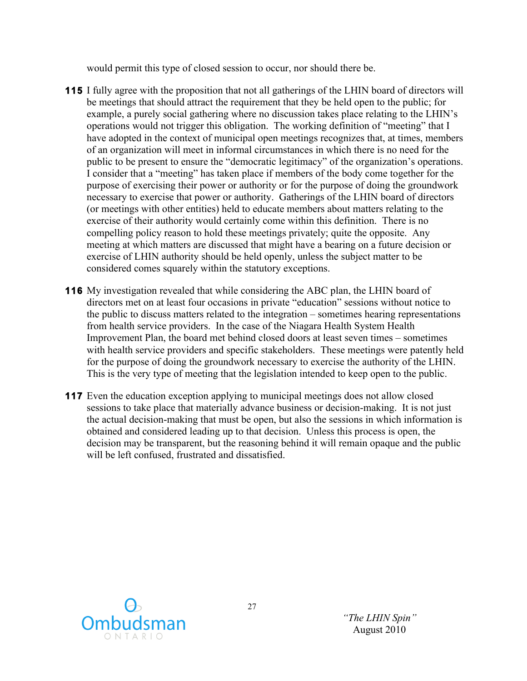would permit this type of closed session to occur, nor should there be.

- **115** I fully agree with the proposition that not all gatherings of the LHIN board of directors will be meetings that should attract the requirement that they be held open to the public; for example, a purely social gathering where no discussion takes place relating to the LHIN's operations would not trigger this obligation. The working definition of "meeting" that I have adopted in the context of municipal open meetings recognizes that, at times, members of an organization will meet in informal circumstances in which there is no need for the public to be present to ensure the "democratic legitimacy" of the organization's operations. I consider that a "meeting" has taken place if members of the body come together for the purpose of exercising their power or authority or for the purpose of doing the groundwork necessary to exercise that power or authority. Gatherings of the LHIN board of directors (or meetings with other entities) held to educate members about matters relating to the exercise of their authority would certainly come within this definition. There is no compelling policy reason to hold these meetings privately; quite the opposite. Any meeting at which matters are discussed that might have a bearing on a future decision or exercise of LHIN authority should be held openly, unless the subject matter to be considered comes squarely within the statutory exceptions.
- **116** My investigation revealed that while considering the ABC plan, the LHIN board of directors met on at least four occasions in private "education" sessions without notice to the public to discuss matters related to the integration – sometimes hearing representations from health service providers. In the case of the Niagara Health System Health Improvement Plan, the board met behind closed doors at least seven times – sometimes with health service providers and specific stakeholders. These meetings were patently held for the purpose of doing the groundwork necessary to exercise the authority of the LHIN. This is the very type of meeting that the legislation intended to keep open to the public.
- **117** Even the education exception applying to municipal meetings does not allow closed sessions to take place that materially advance business or decision-making. It is not just the actual decision-making that must be open, but also the sessions in which information is obtained and considered leading up to that decision. Unless this process is open, the decision may be transparent, but the reasoning behind it will remain opaque and the public will be left confused, frustrated and dissatisfied.

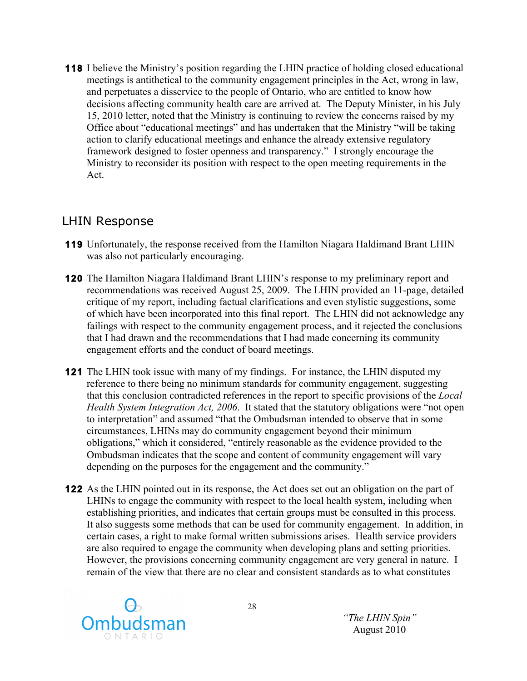**118** I believe the Ministry's position regarding the LHIN practice of holding closed educational meetings is antithetical to the community engagement principles in the Act, wrong in law, and perpetuates a disservice to the people of Ontario, who are entitled to know how decisions affecting community health care are arrived at. The Deputy Minister, in his July 15, 2010 letter, noted that the Ministry is continuing to review the concerns raised by my Office about "educational meetings" and has undertaken that the Ministry "will be taking action to clarify educational meetings and enhance the already extensive regulatory framework designed to foster openness and transparency." I strongly encourage the Ministry to reconsider its position with respect to the open meeting requirements in the Act.

#### LHIN Response

- **119** Unfortunately, the response received from the Hamilton Niagara Haldimand Brant LHIN was also not particularly encouraging.
- **120** The Hamilton Niagara Haldimand Brant LHIN's response to my preliminary report and recommendations was received August 25, 2009. The LHIN provided an 11-page, detailed critique of my report, including factual clarifications and even stylistic suggestions, some of which have been incorporated into this final report. The LHIN did not acknowledge any failings with respect to the community engagement process, and it rejected the conclusions that I had drawn and the recommendations that I had made concerning its community engagement efforts and the conduct of board meetings.
- **121** The LHIN took issue with many of my findings. For instance, the LHIN disputed my reference to there being no minimum standards for community engagement, suggesting that this conclusion contradicted references in the report to specific provisions of the *Local Health System Integration Act, 2006.* It stated that the statutory obligations were "not open to interpretation" and assumed "that the Ombudsman intended to observe that in some circumstances, LHINs may do community engagement beyond their minimum obligations," which it considered, "entirely reasonable as the evidence provided to the Ombudsman indicates that the scope and content of community engagement will vary depending on the purposes for the engagement and the community."
- **122** As the LHIN pointed out in its response, the Act does set out an obligation on the part of LHINs to engage the community with respect to the local health system, including when establishing priorities, and indicates that certain groups must be consulted in this process. It also suggests some methods that can be used for community engagement. In addition, in certain cases, a right to make formal written submissions arises. Health service providers are also required to engage the community when developing plans and setting priorities. However, the provisions concerning community engagement are very general in nature. I remain of the view that there are no clear and consistent standards as to what constitutes

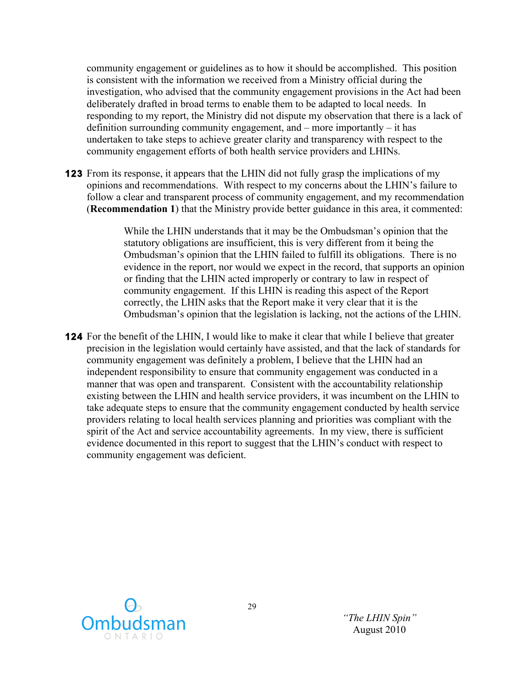community engagement or guidelines as to how it should be accomplished. This position is consistent with the information we received from a Ministry official during the investigation, who advised that the community engagement provisions in the Act had been deliberately drafted in broad terms to enable them to be adapted to local needs. In responding to my report, the Ministry did not dispute my observation that there is a lack of definition surrounding community engagement, and – more importantly – it has undertaken to take steps to achieve greater clarity and transparency with respect to the community engagement efforts of both health service providers and LHINs.

**123** From its response, it appears that the LHIN did not fully grasp the implications of my opinions and recommendations. With respect to my concerns about the LHIN's failure to follow a clear and transparent process of community engagement, and my recommendation (**Recommendation 1**) that the Ministry provide better guidance in this area, it commented:

> While the LHIN understands that it may be the Ombudsman's opinion that the statutory obligations are insufficient, this is very different from it being the Ombudsman's opinion that the LHIN failed to fulfill its obligations. There is no evidence in the report, nor would we expect in the record, that supports an opinion or finding that the LHIN acted improperly or contrary to law in respect of community engagement. If this LHIN is reading this aspect of the Report correctly, the LHIN asks that the Report make it very clear that it is the Ombudsman's opinion that the legislation is lacking, not the actions of the LHIN.

**124** For the benefit of the LHIN, I would like to make it clear that while I believe that greater precision in the legislation would certainly have assisted, and that the lack of standards for community engagement was definitely a problem, I believe that the LHIN had an independent responsibility to ensure that community engagement was conducted in a manner that was open and transparent. Consistent with the accountability relationship existing between the LHIN and health service providers, it was incumbent on the LHIN to take adequate steps to ensure that the community engagement conducted by health service providers relating to local health services planning and priorities was compliant with the spirit of the Act and service accountability agreements. In my view, there is sufficient evidence documented in this report to suggest that the LHIN's conduct with respect to community engagement was deficient.

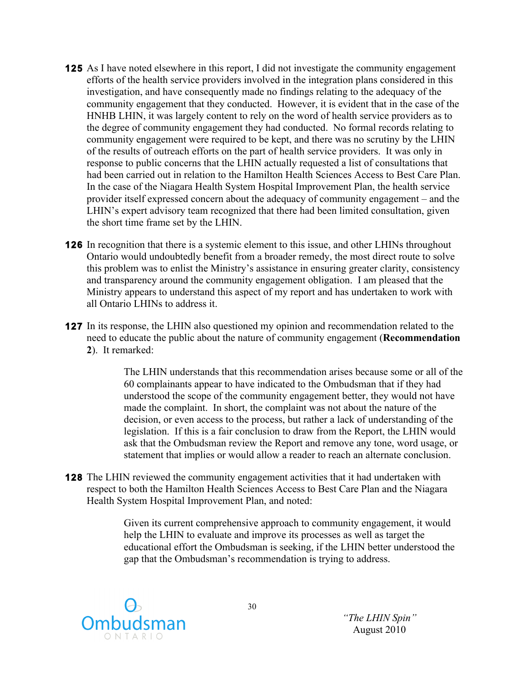- **125** As I have noted elsewhere in this report, I did not investigate the community engagement efforts of the health service providers involved in the integration plans considered in this investigation, and have consequently made no findings relating to the adequacy of the community engagement that they conducted. However, it is evident that in the case of the HNHB LHIN, it was largely content to rely on the word of health service providers as to the degree of community engagement they had conducted. No formal records relating to community engagement were required to be kept, and there was no scrutiny by the LHIN of the results of outreach efforts on the part of health service providers. It was only in response to public concerns that the LHIN actually requested a list of consultations that had been carried out in relation to the Hamilton Health Sciences Access to Best Care Plan. In the case of the Niagara Health System Hospital Improvement Plan, the health service provider itself expressed concern about the adequacy of community engagement – and the LHIN's expert advisory team recognized that there had been limited consultation, given the short time frame set by the LHIN.
- **126** In recognition that there is a systemic element to this issue, and other LHINs throughout Ontario would undoubtedly benefit from a broader remedy, the most direct route to solve this problem was to enlist the Ministry's assistance in ensuring greater clarity, consistency and transparency around the community engagement obligation. I am pleased that the Ministry appears to understand this aspect of my report and has undertaken to work with all Ontario LHINs to address it.
- **127** In its response, the LHIN also questioned my opinion and recommendation related to the need to educate the public about the nature of community engagement (**Recommendation 2**). It remarked:

The LHIN understands that this recommendation arises because some or all of the 60 complainants appear to have indicated to the Ombudsman that if they had understood the scope of the community engagement better, they would not have made the complaint. In short, the complaint was not about the nature of the decision, or even access to the process, but rather a lack of understanding of the legislation. If this is a fair conclusion to draw from the Report, the LHIN would ask that the Ombudsman review the Report and remove any tone, word usage, or statement that implies or would allow a reader to reach an alternate conclusion.

**128** The LHIN reviewed the community engagement activities that it had undertaken with respect to both the Hamilton Health Sciences Access to Best Care Plan and the Niagara Health System Hospital Improvement Plan, and noted:

> Given its current comprehensive approach to community engagement, it would help the LHIN to evaluate and improve its processes as well as target the educational effort the Ombudsman is seeking, if the LHIN better understood the gap that the Ombudsman's recommendation is trying to address.

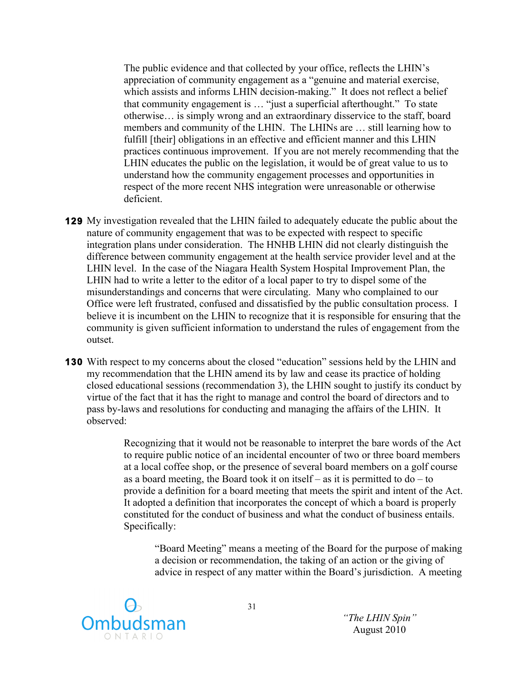The public evidence and that collected by your office, reflects the LHIN's appreciation of community engagement as a "genuine and material exercise, which assists and informs LHIN decision-making." It does not reflect a belief that community engagement is … "just a superficial afterthought." To state otherwise… is simply wrong and an extraordinary disservice to the staff, board members and community of the LHIN. The LHINs are … still learning how to fulfill [their] obligations in an effective and efficient manner and this LHIN practices continuous improvement. If you are not merely recommending that the LHIN educates the public on the legislation, it would be of great value to us to understand how the community engagement processes and opportunities in respect of the more recent NHS integration were unreasonable or otherwise deficient.

- **129** My investigation revealed that the LHIN failed to adequately educate the public about the nature of community engagement that was to be expected with respect to specific integration plans under consideration. The HNHB LHIN did not clearly distinguish the difference between community engagement at the health service provider level and at the LHIN level. In the case of the Niagara Health System Hospital Improvement Plan, the LHIN had to write a letter to the editor of a local paper to try to dispel some of the misunderstandings and concerns that were circulating. Many who complained to our Office were left frustrated, confused and dissatisfied by the public consultation process. I believe it is incumbent on the LHIN to recognize that it is responsible for ensuring that the community is given sufficient information to understand the rules of engagement from the outset.
- **130** With respect to my concerns about the closed "education" sessions held by the LHIN and my recommendation that the LHIN amend its by law and cease its practice of holding closed educational sessions (recommendation 3), the LHIN sought to justify its conduct by virtue of the fact that it has the right to manage and control the board of directors and to pass by-laws and resolutions for conducting and managing the affairs of the LHIN. It observed:

Recognizing that it would not be reasonable to interpret the bare words of the Act to require public notice of an incidental encounter of two or three board members at a local coffee shop, or the presence of several board members on a golf course as a board meeting, the Board took it on itself – as it is permitted to  $do - to$ provide a definition for a board meeting that meets the spirit and intent of the Act. It adopted a definition that incorporates the concept of which a board is properly constituted for the conduct of business and what the conduct of business entails. Specifically:

"Board Meeting" means a meeting of the Board for the purpose of making a decision or recommendation, the taking of an action or the giving of advice in respect of any matter within the Board's jurisdiction. A meeting

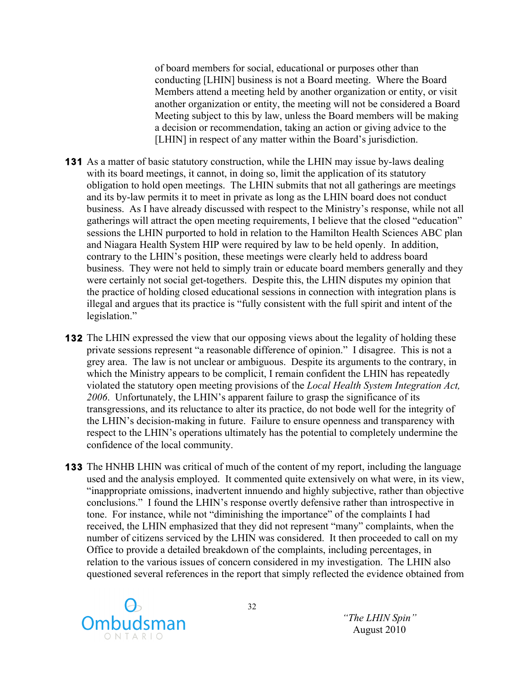of board members for social, educational or purposes other than conducting [LHIN] business is not a Board meeting. Where the Board Members attend a meeting held by another organization or entity, or visit another organization or entity, the meeting will not be considered a Board Meeting subject to this by law, unless the Board members will be making a decision or recommendation, taking an action or giving advice to the [LHIN] in respect of any matter within the Board's jurisdiction.

- **131** As a matter of basic statutory construction, while the LHIN may issue by-laws dealing with its board meetings, it cannot, in doing so, limit the application of its statutory obligation to hold open meetings. The LHIN submits that not all gatherings are meetings and its by-law permits it to meet in private as long as the LHIN board does not conduct business. As I have already discussed with respect to the Ministry's response, while not all gatherings will attract the open meeting requirements, I believe that the closed "education" sessions the LHIN purported to hold in relation to the Hamilton Health Sciences ABC plan and Niagara Health System HIP were required by law to be held openly. In addition, contrary to the LHIN's position, these meetings were clearly held to address board business. They were not held to simply train or educate board members generally and they were certainly not social get-togethers. Despite this, the LHIN disputes my opinion that the practice of holding closed educational sessions in connection with integration plans is illegal and argues that its practice is "fully consistent with the full spirit and intent of the legislation."
- **132** The LHIN expressed the view that our opposing views about the legality of holding these private sessions represent "a reasonable difference of opinion." I disagree. This is not a grey area. The law is not unclear or ambiguous. Despite its arguments to the contrary, in which the Ministry appears to be complicit, I remain confident the LHIN has repeatedly violated the statutory open meeting provisions of the *Local Health System Integration Act, 2006*. Unfortunately, the LHIN's apparent failure to grasp the significance of its transgressions, and its reluctance to alter its practice, do not bode well for the integrity of the LHIN's decision-making in future. Failure to ensure openness and transparency with respect to the LHIN's operations ultimately has the potential to completely undermine the confidence of the local community.
- **133** The HNHB LHIN was critical of much of the content of my report, including the language used and the analysis employed. It commented quite extensively on what were, in its view, "inappropriate omissions, inadvertent innuendo and highly subjective, rather than objective conclusions." I found the LHIN's response overtly defensive rather than introspective in tone. For instance, while not "diminishing the importance" of the complaints I had received, the LHIN emphasized that they did not represent "many" complaints, when the number of citizens serviced by the LHIN was considered. It then proceeded to call on my Office to provide a detailed breakdown of the complaints, including percentages, in relation to the various issues of concern considered in my investigation. The LHIN also questioned several references in the report that simply reflected the evidence obtained from

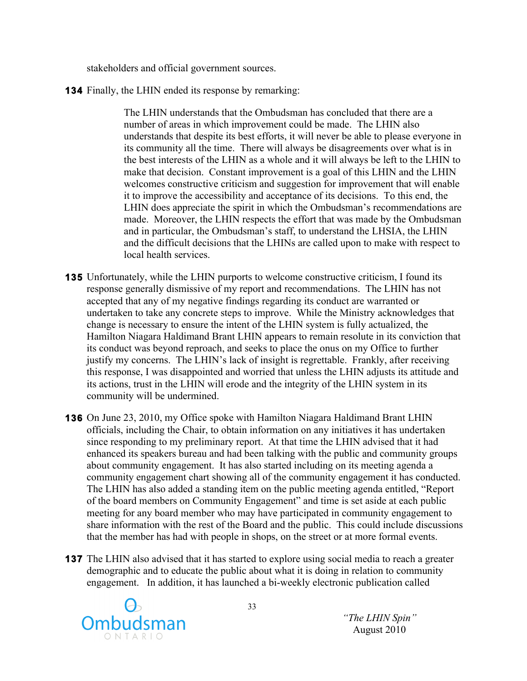stakeholders and official government sources.

**134** Finally, the LHIN ended its response by remarking:

The LHIN understands that the Ombudsman has concluded that there are a number of areas in which improvement could be made. The LHIN also understands that despite its best efforts, it will never be able to please everyone in its community all the time. There will always be disagreements over what is in the best interests of the LHIN as a whole and it will always be left to the LHIN to make that decision. Constant improvement is a goal of this LHIN and the LHIN welcomes constructive criticism and suggestion for improvement that will enable it to improve the accessibility and acceptance of its decisions. To this end, the LHIN does appreciate the spirit in which the Ombudsman's recommendations are made. Moreover, the LHIN respects the effort that was made by the Ombudsman and in particular, the Ombudsman's staff, to understand the LHSIA, the LHIN and the difficult decisions that the LHINs are called upon to make with respect to local health services.

- **135** Unfortunately, while the LHIN purports to welcome constructive criticism, I found its response generally dismissive of my report and recommendations. The LHIN has not accepted that any of my negative findings regarding its conduct are warranted or undertaken to take any concrete steps to improve. While the Ministry acknowledges that change is necessary to ensure the intent of the LHIN system is fully actualized, the Hamilton Niagara Haldimand Brant LHIN appears to remain resolute in its conviction that its conduct was beyond reproach, and seeks to place the onus on my Office to further justify my concerns. The LHIN's lack of insight is regrettable. Frankly, after receiving this response, I was disappointed and worried that unless the LHIN adjusts its attitude and its actions, trust in the LHIN will erode and the integrity of the LHIN system in its community will be undermined.
- **136** On June 23, 2010, my Office spoke with Hamilton Niagara Haldimand Brant LHIN officials, including the Chair, to obtain information on any initiatives it has undertaken since responding to my preliminary report. At that time the LHIN advised that it had enhanced its speakers bureau and had been talking with the public and community groups about community engagement. It has also started including on its meeting agenda a community engagement chart showing all of the community engagement it has conducted. The LHIN has also added a standing item on the public meeting agenda entitled, "Report of the board members on Community Engagement" and time is set aside at each public meeting for any board member who may have participated in community engagement to share information with the rest of the Board and the public. This could include discussions that the member has had with people in shops, on the street or at more formal events.
- **137** The LHIN also advised that it has started to explore using social media to reach a greater demographic and to educate the public about what it is doing in relation to community engagement. In addition, it has launched a bi-weekly electronic publication called

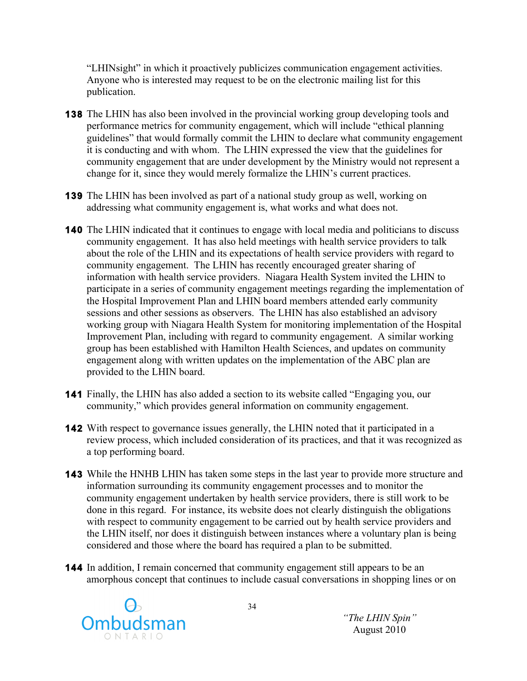"LHINsight" in which it proactively publicizes communication engagement activities. Anyone who is interested may request to be on the electronic mailing list for this publication.

- **138** The LHIN has also been involved in the provincial working group developing tools and performance metrics for community engagement, which will include "ethical planning guidelines" that would formally commit the LHIN to declare what community engagement it is conducting and with whom. The LHIN expressed the view that the guidelines for community engagement that are under development by the Ministry would not represent a change for it, since they would merely formalize the LHIN's current practices.
- **139** The LHIN has been involved as part of a national study group as well, working on addressing what community engagement is, what works and what does not.
- **140** The LHIN indicated that it continues to engage with local media and politicians to discuss community engagement. It has also held meetings with health service providers to talk about the role of the LHIN and its expectations of health service providers with regard to community engagement. The LHIN has recently encouraged greater sharing of information with health service providers. Niagara Health System invited the LHIN to participate in a series of community engagement meetings regarding the implementation of the Hospital Improvement Plan and LHIN board members attended early community sessions and other sessions as observers. The LHIN has also established an advisory working group with Niagara Health System for monitoring implementation of the Hospital Improvement Plan, including with regard to community engagement. A similar working group has been established with Hamilton Health Sciences, and updates on community engagement along with written updates on the implementation of the ABC plan are provided to the LHIN board.
- **141** Finally, the LHIN has also added a section to its website called "Engaging you, our community," which provides general information on community engagement.
- **142** With respect to governance issues generally, the LHIN noted that it participated in a review process, which included consideration of its practices, and that it was recognized as a top performing board.
- **143** While the HNHB LHIN has taken some steps in the last year to provide more structure and information surrounding its community engagement processes and to monitor the community engagement undertaken by health service providers, there is still work to be done in this regard. For instance, its website does not clearly distinguish the obligations with respect to community engagement to be carried out by health service providers and the LHIN itself, nor does it distinguish between instances where a voluntary plan is being considered and those where the board has required a plan to be submitted.
- **144** In addition, I remain concerned that community engagement still appears to be an amorphous concept that continues to include casual conversations in shopping lines or on

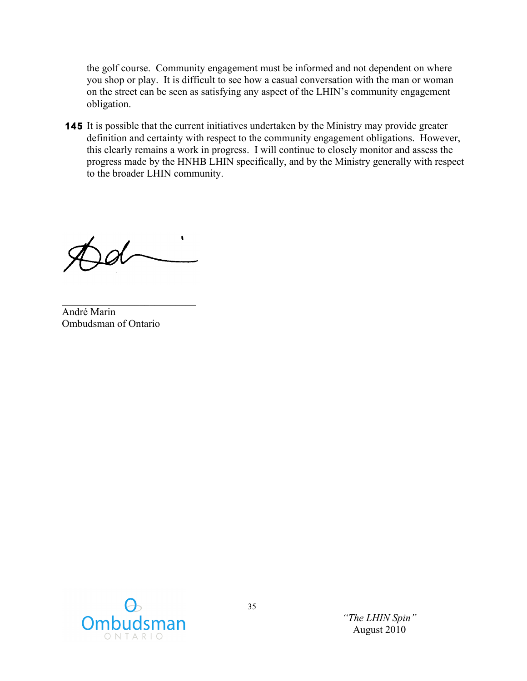the golf course. Community engagement must be informed and not dependent on where you shop or play. It is difficult to see how a casual conversation with the man or woman on the street can be seen as satisfying any aspect of the LHIN's community engagement obligation.

**145** It is possible that the current initiatives undertaken by the Ministry may provide greater definition and certainty with respect to the community engagement obligations. However, this clearly remains a work in progress. I will continue to closely monitor and assess the progress made by the HNHB LHIN specifically, and by the Ministry generally with respect to the broader LHIN community.

 $\pmb{\mathsf{t}}$  $\sqrt{d}$ 

 $\mathcal{L}_\text{max}$ André Marin Ombudsman of Ontario

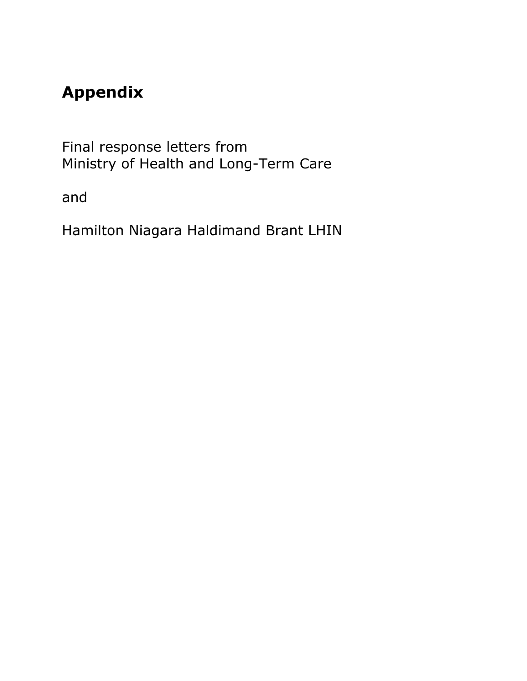# **Appendix**

Final response letters from Ministry of Health and Long-Term Care

and

Hamilton Niagara Haldimand Brant LHIN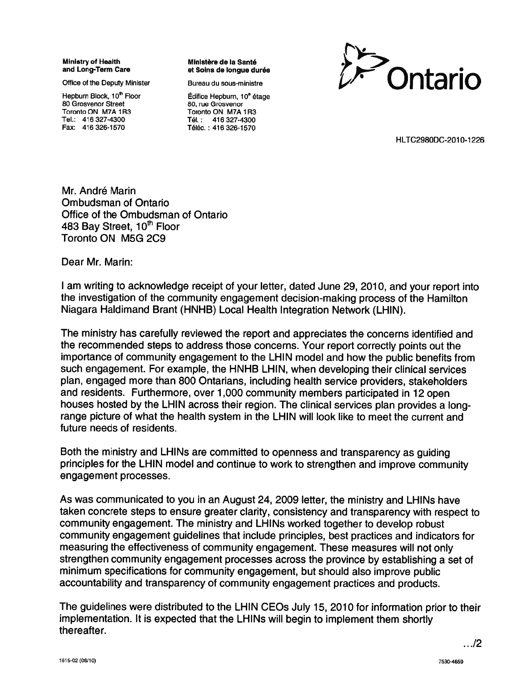**Ministry of Health** and Long-Term Care

Office of the Deputy Minister

Hepburn Block, 10<sup>th</sup> Floor 80 Grosvenor Street Toronto ON M7A 1R3 Tel.: 416 327-4300 Fax: 416 326-1570

Ministère de la Santé et Soins de longue durée

Bureau du sous-ministre



Édifice Hepburn, 10<sup>e</sup> étage 80, rue Grosvenor Toronto ON M7A 1R3 Tél.: 416 327-4300 Téléc.: 416 326-1570

HLTC2980DC-2010-1226

Mr. André Marin Ombudsman of Ontario Office of the Ombudsman of Ontario 483 Bay Street, 10<sup>th</sup> Floor Toronto ON M5G 2C9

Dear Mr. Marin:

I am writing to acknowledge receipt of your letter, dated June 29, 2010, and your report into the investigation of the community engagement decision-making process of the Hamilton Niagara Haldimand Brant (HNHB) Local Health Integration Network (LHIN).

The ministry has carefully reviewed the report and appreciates the concerns identified and the recommended steps to address those concerns. Your report correctly points out the importance of community engagement to the LHIN model and how the public benefits from such engagement. For example, the HNHB LHIN, when developing their clinical services plan, engaged more than 800 Ontarians, including health service providers, stakeholders and residents. Furthermore, over 1,000 community members participated in 12 open houses hosted by the LHIN across their region. The clinical services plan provides a longrange picture of what the health system in the LHIN will look like to meet the current and future needs of residents.

Both the ministry and LHINs are committed to openness and transparency as quiding principles for the LHIN model and continue to work to strengthen and improve community engagement processes.

As was communicated to you in an August 24, 2009 letter, the ministry and LHINs have taken concrete steps to ensure greater clarity, consistency and transparency with respect to community engagement. The ministry and LHINs worked together to develop robust community engagement guidelines that include principles, best practices and indicators for measuring the effectiveness of community engagement. These measures will not only strengthen community engagement processes across the province by establishing a set of minimum specifications for community engagement, but should also improve public accountability and transparency of community engagement practices and products.

The guidelines were distributed to the LHIN CEOs July 15, 2010 for information prior to their implementation. It is expected that the LHINs will begin to implement them shortly thereafter.

 $\ldots$ /2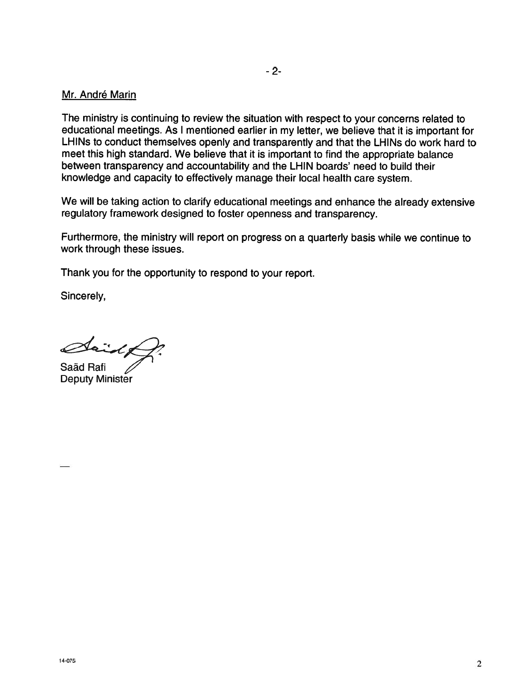#### Mr. André Marin

The ministry is continuing to review the situation with respect to your concerns related to educational meetings. As I mentioned earlier in my letter, we believe that it is important for LHINs to conduct themselves openly and transparently and that the LHINs do work hard to meet this high standard. We believe that it is important to find the appropriate balance between transparency and accountability and the LHIN boards' need to build their knowledge and capacity to effectively manage their local health care system.

We will be taking action to clarify educational meetings and enhance the already extensive regulatory framework designed to foster openness and transparency.

Furthermore, the ministry will report on progress on a quarterly basis while we continue to work through these issues.

Thank you for the opportunity to respond to your report.

Sincerely,

Saäd Rafi **Deputy Minister**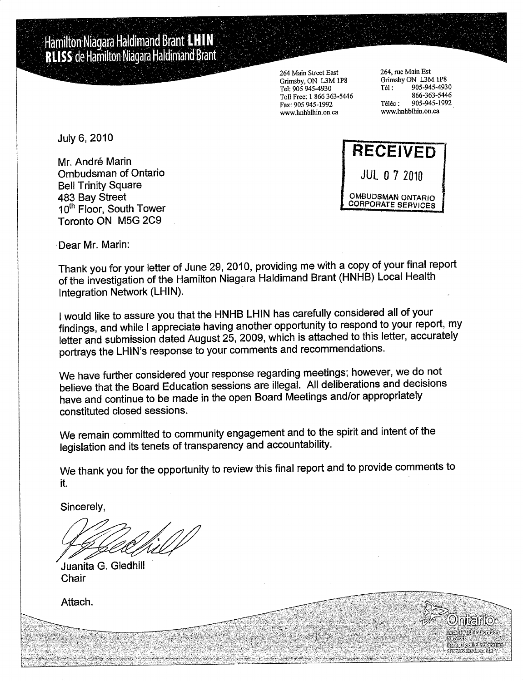Hamilton Niagara Haldimand Brant LHIN **RLISS** de Hamilton Niagara Haldimand Brant

> 264 Main Street East Grimsby, ON L3M 1P8 Tel: 905 945-4930 Toll Free: 1 866 363-5446 Fax: 905 945-1992 www.hnhblhin.on.ca

264, rue Main Est Grimsby ON L3M 1P8 905-945-4930 Tél: 866-363-5446 905-945-1992 Téléc: www.hnhblhin.on.ca

> **Microbinication** Carnotecholines jeuno

July 6, 2010

Mr. André Marin **Ombudsman of Ontario Bell Trinity Square** 483 Bay Street 10<sup>th</sup> Floor, South Tower Toronto ON M5G 2C9



Dear Mr. Marin:

Thank you for your letter of June 29, 2010, providing me with a copy of your final report of the investigation of the Hamilton Niagara Haldimand Brant (HNHB) Local Health Integration Network (LHIN).

I would like to assure you that the HNHB LHIN has carefully considered all of your findings, and while I appreciate having another opportunity to respond to your report, my letter and submission dated August 25, 2009, which is attached to this letter, accurately portrays the LHIN's response to your comments and recommendations.

We have further considered your response regarding meetings; however, we do not believe that the Board Education sessions are illegal. All deliberations and decisions have and continue to be made in the open Board Meetings and/or appropriately constituted closed sessions.

We remain committed to community engagement and to the spirit and intent of the legislation and its tenets of transparency and accountability.

We thank you for the opportunity to review this final report and to provide comments to it.

Sincerely,

Juanita G. Gledhill Chair

Attach.